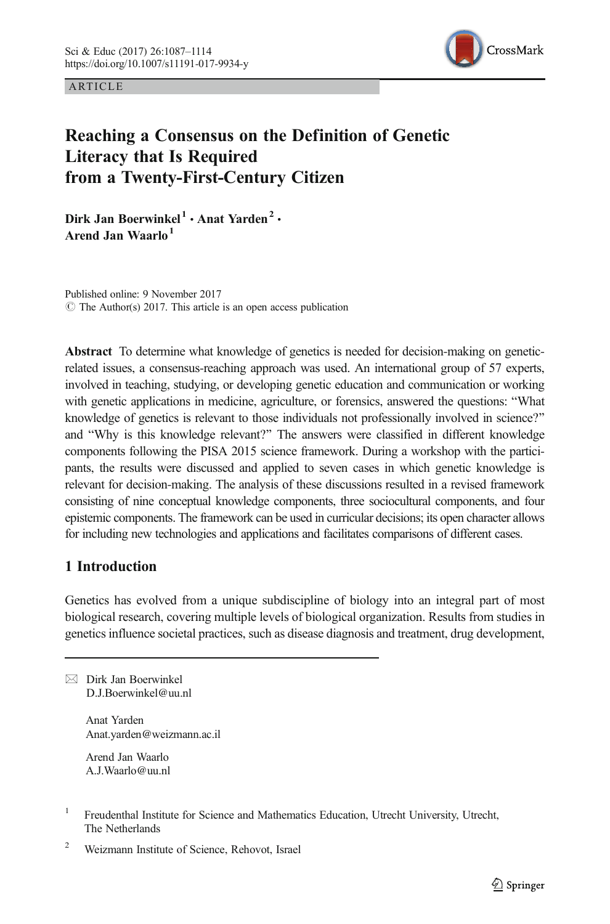ARTICLE



# Reaching a Consensus on the Definition of Genetic Literacy that Is Required from a Twenty-First-Century Citizen

Dirk Jan Boerwinkel<sup>1</sup> · Anat Yarden<sup>2</sup> · Arend Jan Waarlo<sup>1</sup>

Published online: 9 November 2017  $\odot$  The Author(s) 2017. This article is an open access publication

Abstract To determine what knowledge of genetics is needed for decision-making on geneticrelated issues, a consensus-reaching approach was used. An international group of 57 experts, involved in teaching, studying, or developing genetic education and communication or working with genetic applications in medicine, agriculture, or forensics, answered the questions: "What knowledge of genetics is relevant to those individuals not professionally involved in science?" and "Why is this knowledge relevant?" The answers were classified in different knowledge components following the PISA 2015 science framework. During a workshop with the participants, the results were discussed and applied to seven cases in which genetic knowledge is relevant for decision-making. The analysis of these discussions resulted in a revised framework consisting of nine conceptual knowledge components, three sociocultural components, and four epistemic components. The framework can be used in curricular decisions; its open character allows for including new technologies and applications and facilitates comparisons of different cases.

# 1 Introduction

Genetics has evolved from a unique subdiscipline of biology into an integral part of most biological research, covering multiple levels of biological organization. Results from studies in genetics influence societal practices, such as disease diagnosis and treatment, drug development,

 $\boxtimes$  Dirk Jan Boerwinkel [D.J.Boerwinkel@uu.nl](mailto:D.J.Boerwinkel@uu.nl)

> Anat Yarden Anat.yarden@weizmann.ac.il

Arend Jan Waarlo A.J.Waarlo@uu.nl

- <sup>1</sup> Freudenthal Institute for Science and Mathematics Education, Utrecht University, Utrecht, The Netherlands
- <sup>2</sup> Weizmann Institute of Science, Rehovot, Israel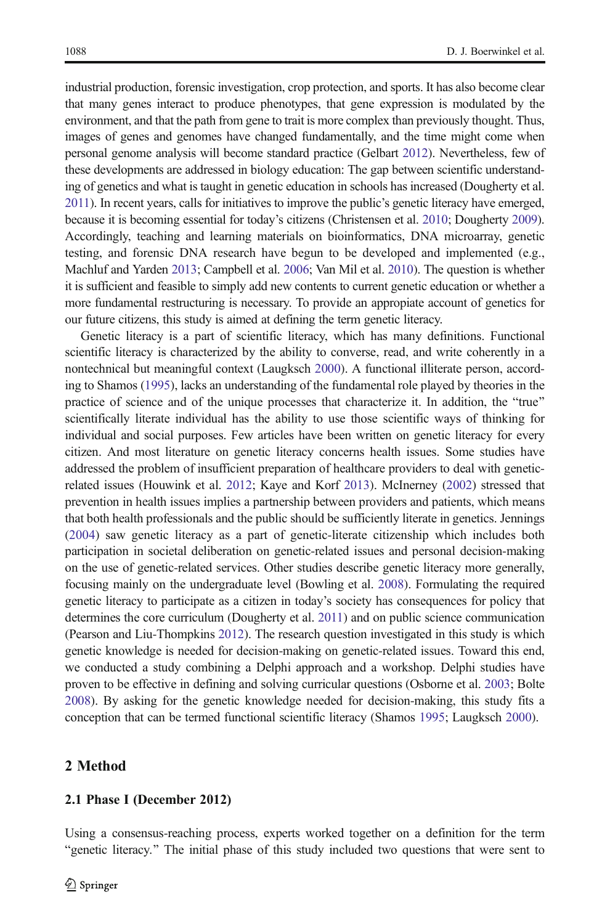industrial production, forensic investigation, crop protection, and sports. It has also become clear that many genes interact to produce phenotypes, that gene expression is modulated by the environment, and that the path from gene to trait is more complex than previously thought. Thus, images of genes and genomes have changed fundamentally, and the time might come when personal genome analysis will become standard practice (Gelbart [2012\)](#page-26-0). Nevertheless, few of these developments are addressed in biology education: The gap between scientific understanding of genetics and what is taught in genetic education in schools has increased (Dougherty et al. [2011\)](#page-26-0). In recent years, calls for initiatives to improve the public's genetic literacy have emerged, because it is becoming essential for today's citizens (Christensen et al. [2010;](#page-26-0) Dougherty [2009](#page-26-0)). Accordingly, teaching and learning materials on bioinformatics, DNA microarray, genetic testing, and forensic DNA research have begun to be developed and implemented (e.g., Machluf and Yarden [2013](#page-27-0); Campbell et al. [2006;](#page-26-0) Van Mil et al. [2010\)](#page-27-0). The question is whether it is sufficient and feasible to simply add new contents to current genetic education or whether a more fundamental restructuring is necessary. To provide an appropiate account of genetics for our future citizens, this study is aimed at defining the term genetic literacy.

Genetic literacy is a part of scientific literacy, which has many definitions. Functional scientific literacy is characterized by the ability to converse, read, and write coherently in a nontechnical but meaningful context (Laugksch [2000](#page-26-0)). A functional illiterate person, according to Shamos [\(1995\)](#page-27-0), lacks an understanding of the fundamental role played by theories in the practice of science and of the unique processes that characterize it. In addition, the "true" scientifically literate individual has the ability to use those scientific ways of thinking for individual and social purposes. Few articles have been written on genetic literacy for every citizen. And most literature on genetic literacy concerns health issues. Some studies have addressed the problem of insufficient preparation of healthcare providers to deal with geneticrelated issues (Houwink et al. [2012;](#page-26-0) Kaye and Korf [2013](#page-26-0)). McInerney ([2002](#page-27-0)) stressed that prevention in health issues implies a partnership between providers and patients, which means that both health professionals and the public should be sufficiently literate in genetics. Jennings ([2004\)](#page-26-0) saw genetic literacy as a part of genetic-literate citizenship which includes both participation in societal deliberation on genetic-related issues and personal decision-making on the use of genetic-related services. Other studies describe genetic literacy more generally, focusing mainly on the undergraduate level (Bowling et al. [2008](#page-26-0)). Formulating the required genetic literacy to participate as a citizen in today's society has consequences for policy that determines the core curriculum (Dougherty et al. [2011](#page-26-0)) and on public science communication (Pearson and Liu-Thompkins [2012\)](#page-27-0). The research question investigated in this study is which genetic knowledge is needed for decision-making on genetic-related issues. Toward this end, we conducted a study combining a Delphi approach and a workshop. Delphi studies have proven to be effective in defining and solving curricular questions (Osborne et al. [2003;](#page-27-0) Bolte [2008](#page-26-0)). By asking for the genetic knowledge needed for decision-making, this study fits a conception that can be termed functional scientific literacy (Shamos [1995;](#page-27-0) Laugksch [2000](#page-26-0)).

## 2 Method

#### 2.1 Phase I (December 2012)

Using a consensus-reaching process, experts worked together on a definition for the term "genetic literacy." The initial phase of this study included two questions that were sent to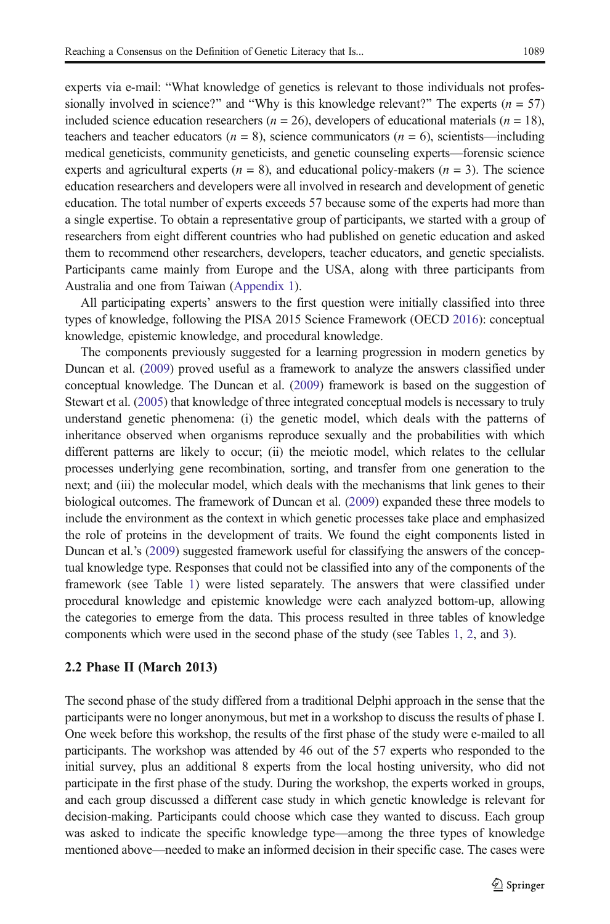experts via e-mail: "What knowledge of genetics is relevant to those individuals not professionally involved in science?" and "Why is this knowledge relevant?" The experts ( $n = 57$ ) included science education researchers ( $n = 26$ ), developers of educational materials ( $n = 18$ ), teachers and teacher educators ( $n = 8$ ), science communicators ( $n = 6$ ), scientists—including medical geneticists, community geneticists, and genetic counseling experts—forensic science experts and agricultural experts ( $n = 8$ ), and educational policy-makers ( $n = 3$ ). The science education researchers and developers were all involved in research and development of genetic education. The total number of experts exceeds 57 because some of the experts had more than a single expertise. To obtain a representative group of participants, we started with a group of researchers from eight different countries who had published on genetic education and asked them to recommend other researchers, developers, teacher educators, and genetic specialists. Participants came mainly from Europe and the USA, along with three participants from Australia and one from Taiwan [\(Appendix 1](#page-23-0)).

All participating experts' answers to the first question were initially classified into three types of knowledge, following the PISA 2015 Science Framework (OECD [2016\)](#page-27-0): conceptual knowledge, epistemic knowledge, and procedural knowledge.

The components previously suggested for a learning progression in modern genetics by Duncan et al. ([2009](#page-26-0)) proved useful as a framework to analyze the answers classified under conceptual knowledge. The Duncan et al. ([2009](#page-26-0)) framework is based on the suggestion of Stewart et al. [\(2005\)](#page-27-0) that knowledge of three integrated conceptual models is necessary to truly understand genetic phenomena: (i) the genetic model, which deals with the patterns of inheritance observed when organisms reproduce sexually and the probabilities with which different patterns are likely to occur; (ii) the meiotic model, which relates to the cellular processes underlying gene recombination, sorting, and transfer from one generation to the next; and (iii) the molecular model, which deals with the mechanisms that link genes to their biological outcomes. The framework of Duncan et al. ([2009](#page-26-0)) expanded these three models to include the environment as the context in which genetic processes take place and emphasized the role of proteins in the development of traits. We found the eight components listed in Duncan et al.'s ([2009](#page-26-0)) suggested framework useful for classifying the answers of the conceptual knowledge type. Responses that could not be classified into any of the components of the framework (see Table [1\)](#page-3-0) were listed separately. The answers that were classified under procedural knowledge and epistemic knowledge were each analyzed bottom-up, allowing the categories to emerge from the data. This process resulted in three tables of knowledge components which were used in the second phase of the study (see Tables [1](#page-3-0), [2](#page-3-0), and [3\)](#page-4-0).

## 2.2 Phase II (March 2013)

The second phase of the study differed from a traditional Delphi approach in the sense that the participants were no longer anonymous, but met in a workshop to discuss the results of phase I. One week before this workshop, the results of the first phase of the study were e-mailed to all participants. The workshop was attended by 46 out of the 57 experts who responded to the initial survey, plus an additional 8 experts from the local hosting university, who did not participate in the first phase of the study. During the workshop, the experts worked in groups, and each group discussed a different case study in which genetic knowledge is relevant for decision-making. Participants could choose which case they wanted to discuss. Each group was asked to indicate the specific knowledge type—among the three types of knowledge mentioned above—needed to make an informed decision in their specific case. The cases were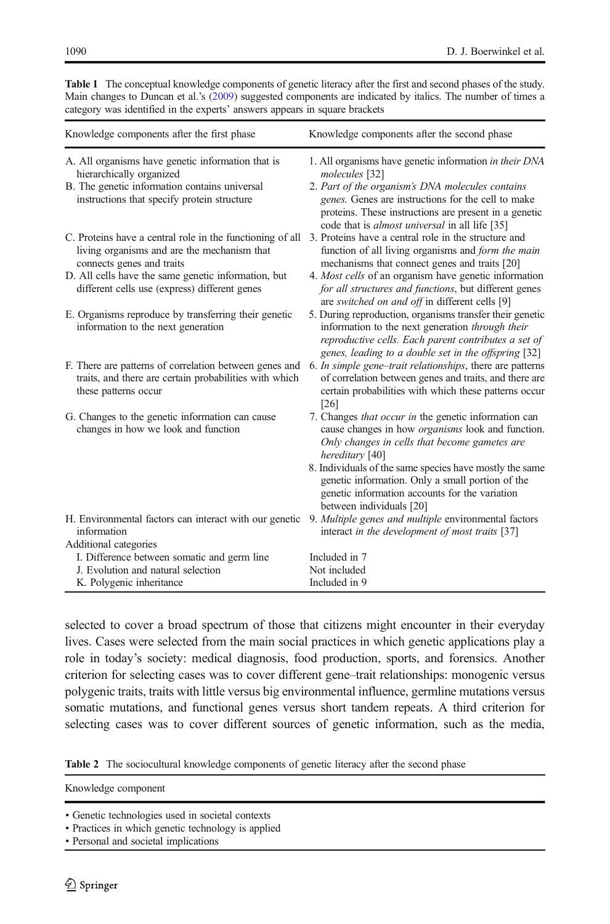| Knowledge components after the first phase                                                                                               | Knowledge components after the second phase                                                                                                                                                                                  |
|------------------------------------------------------------------------------------------------------------------------------------------|------------------------------------------------------------------------------------------------------------------------------------------------------------------------------------------------------------------------------|
| A. All organisms have genetic information that is<br>hierarchically organized                                                            | 1. All organisms have genetic information in their DNA<br>molecules [32]                                                                                                                                                     |
| B. The genetic information contains universal<br>instructions that specify protein structure                                             | 2. Part of the organism's DNA molecules contains<br>genes. Genes are instructions for the cell to make<br>proteins. These instructions are present in a genetic<br>code that is <i>almost universal</i> in all life [35]     |
| C. Proteins have a central role in the functioning of all<br>living organisms and are the mechanism that<br>connects genes and traits    | 3. Proteins have a central role in the structure and<br>function of all living organisms and form the main<br>mechanisms that connect genes and traits [20]                                                                  |
| D. All cells have the same genetic information, but<br>different cells use (express) different genes                                     | 4. Most cells of an organism have genetic information<br>for all structures and functions, but different genes<br>are switched on and off in different cells [9]                                                             |
| E. Organisms reproduce by transferring their genetic<br>information to the next generation                                               | 5. During reproduction, organisms transfer their genetic<br>information to the next generation through their<br>reproductive cells. Each parent contributes a set of<br>genes, leading to a double set in the offspring [32] |
| F. There are patterns of correlation between genes and<br>traits, and there are certain probabilities with which<br>these patterns occur | 6. In simple gene–trait relationships, there are patterns<br>of correlation between genes and traits, and there are<br>certain probabilities with which these patterns occur<br>[26]                                         |
| G. Changes to the genetic information can cause<br>changes in how we look and function                                                   | 7. Changes <i>that occur in</i> the genetic information can<br>cause changes in how <i>organisms</i> look and function.<br>Only changes in cells that become gametes are<br>hereditary [40]                                  |
|                                                                                                                                          | 8. Individuals of the same species have mostly the same<br>genetic information. Only a small portion of the<br>genetic information accounts for the variation<br>between individuals [20]                                    |
| H. Environmental factors can interact with our genetic<br>information                                                                    | 9. Multiple genes and multiple environmental factors<br>interact in the development of most traits [37]                                                                                                                      |
| Additional categories                                                                                                                    |                                                                                                                                                                                                                              |
| I. Difference between somatic and germ line                                                                                              | Included in 7                                                                                                                                                                                                                |
| J. Evolution and natural selection<br>K. Polygenic inheritance                                                                           | Not included<br>Included in 9                                                                                                                                                                                                |
|                                                                                                                                          |                                                                                                                                                                                                                              |

<span id="page-3-0"></span>Table 1 The conceptual knowledge components of genetic literacy after the first and second phases of the study. Main changes to Duncan et al.'s [\(2009\)](#page-26-0) suggested components are indicated by italics. The number of times a category was identified in the experts' answers appears in square brackets

selected to cover a broad spectrum of those that citizens might encounter in their everyday lives. Cases were selected from the main social practices in which genetic applications play a role in today's society: medical diagnosis, food production, sports, and forensics. Another criterion for selecting cases was to cover different gene–trait relationships: monogenic versus polygenic traits, traits with little versus big environmental influence, germline mutations versus somatic mutations, and functional genes versus short tandem repeats. A third criterion for selecting cases was to cover different sources of genetic information, such as the media,

Table 2 The sociocultural knowledge components of genetic literacy after the second phase

Knowledge component

<sup>•</sup> Genetic technologies used in societal contexts

<sup>•</sup> Practices in which genetic technology is applied

<sup>•</sup> Personal and societal implications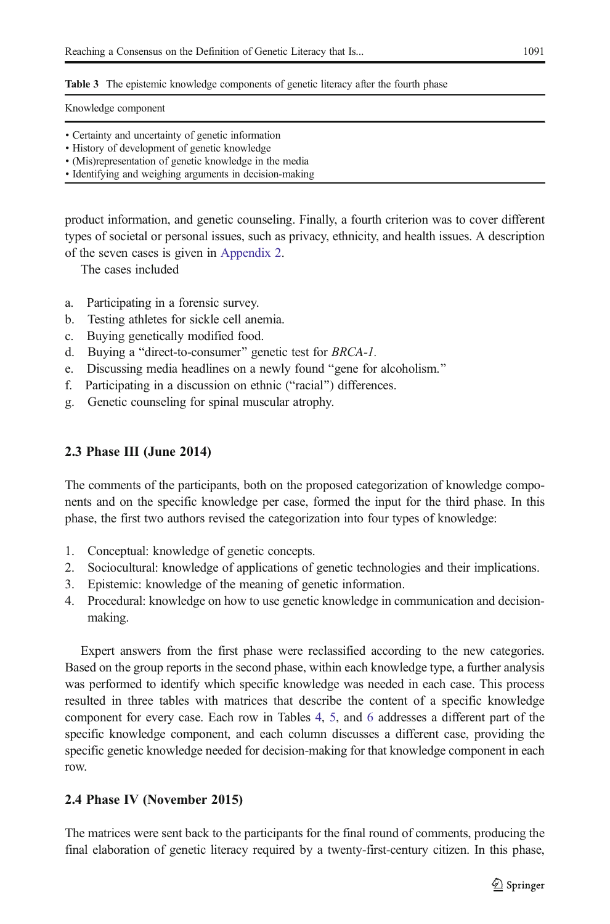<span id="page-4-0"></span>Table 3 The epistemic knowledge components of genetic literacy after the fourth phase

Knowledge component

- Certainty and uncertainty of genetic information
- History of development of genetic knowledge
- (Mis)representation of genetic knowledge in the media
- Identifying and weighing arguments in decision-making

product information, and genetic counseling. Finally, a fourth criterion was to cover different types of societal or personal issues, such as privacy, ethnicity, and health issues. A description of the seven cases is given in [Appendix 2.](#page-25-0)

The cases included

- a. Participating in a forensic survey.
- b. Testing athletes for sickle cell anemia.
- c. Buying genetically modified food.
- d. Buying a "direct-to-consumer" genetic test for BRCA-1.
- e. Discussing media headlines on a newly found "gene for alcoholism."
- f. Participating in a discussion on ethnic ("racial") differences.
- g. Genetic counseling for spinal muscular atrophy.

## 2.3 Phase III (June 2014)

The comments of the participants, both on the proposed categorization of knowledge components and on the specific knowledge per case, formed the input for the third phase. In this phase, the first two authors revised the categorization into four types of knowledge:

- 1. Conceptual: knowledge of genetic concepts.
- 2. Sociocultural: knowledge of applications of genetic technologies and their implications.
- 3. Epistemic: knowledge of the meaning of genetic information.
- 4. Procedural: knowledge on how to use genetic knowledge in communication and decisionmaking.

Expert answers from the first phase were reclassified according to the new categories. Based on the group reports in the second phase, within each knowledge type, a further analysis was performed to identify which specific knowledge was needed in each case. This process resulted in three tables with matrices that describe the content of a specific knowledge component for every case. Each row in Tables [4,](#page-5-0) [5](#page-9-0), and [6](#page-13-0) addresses a different part of the specific knowledge component, and each column discusses a different case, providing the specific genetic knowledge needed for decision-making for that knowledge component in each row.

## 2.4 Phase IV (November 2015)

The matrices were sent back to the participants for the final round of comments, producing the final elaboration of genetic literacy required by a twenty-first-century citizen. In this phase,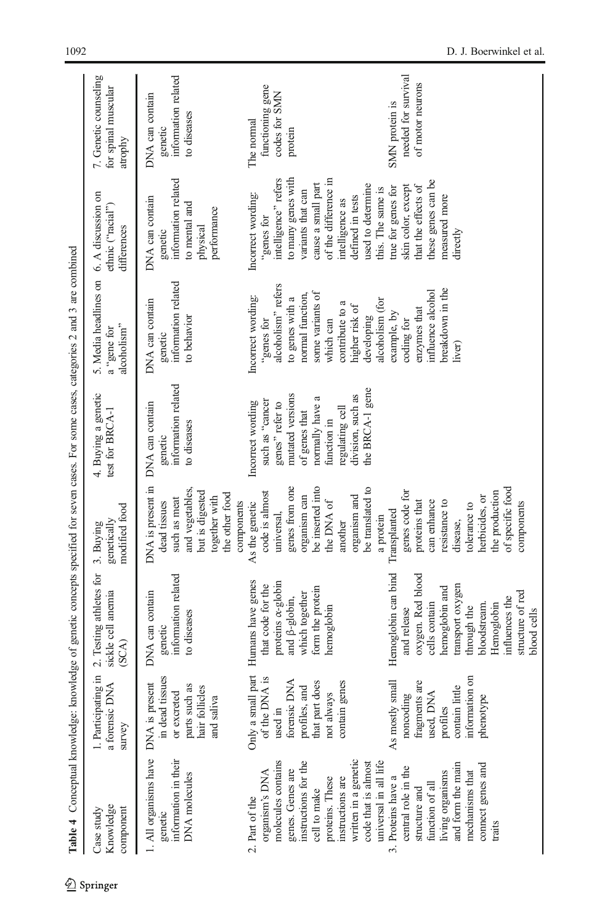<span id="page-5-0"></span>

|                                                                                                                                                                                                                                   |                                                                                                                           | Table 4 Conceptual knowledge: knowledge of genetic concepts specified for seven cases. For some cases, categories 2 and 3 are combined                                                                           |                                                                                                                                                                                   |                                                                                                                                                                                           |                                                                                                                                                                                                      |                                                                                                                                                                                                                                    |                                                                  |
|-----------------------------------------------------------------------------------------------------------------------------------------------------------------------------------------------------------------------------------|---------------------------------------------------------------------------------------------------------------------------|------------------------------------------------------------------------------------------------------------------------------------------------------------------------------------------------------------------|-----------------------------------------------------------------------------------------------------------------------------------------------------------------------------------|-------------------------------------------------------------------------------------------------------------------------------------------------------------------------------------------|------------------------------------------------------------------------------------------------------------------------------------------------------------------------------------------------------|------------------------------------------------------------------------------------------------------------------------------------------------------------------------------------------------------------------------------------|------------------------------------------------------------------|
| Knowledge<br>component<br>Case study                                                                                                                                                                                              | ≺<br>a forensic DN<br>survey                                                                                              | 1. Participating in 2. Testing athletes for<br>sickle cell anemia<br>(SCA)                                                                                                                                       | modified food<br>genetically<br>3. Buying                                                                                                                                         | 4. Buying a genetic<br>test for BRCA-1                                                                                                                                                    | 5. Media headlines on<br>alcoholism"<br>a "gene for                                                                                                                                                  | 6. A discussion on<br>ethnic ("racial")<br>differences                                                                                                                                                                             | 7. Genetic counseling<br>for spinal muscular<br>atrophy          |
| 1. All organisms have DNA is present<br>information in their<br><b>DNA</b> molecules<br>genetic                                                                                                                                   | in dead tissues<br>parts such as<br>hair follicles<br>or excreted<br>and saliva                                           | information related<br>DNA can contain<br>to diseases<br>genetic                                                                                                                                                 | DNA is present in<br>and vegetables.<br>but is digested<br>the other food<br>together with<br>such as meat<br>dead tissues<br>components                                          | genetic<br>information related<br>DNA can contain<br>to diseases                                                                                                                          | information related<br>DNA can contain<br>to behavior<br>genetic                                                                                                                                     | genetic<br>information related<br>DNA can contain<br>to mental and<br>performance<br>physical                                                                                                                                      | information related<br>DNA can contain<br>to diseases<br>genetic |
| molecules contains<br>written in a genetic<br>instructions for the<br>universal in all life<br>code that is almost<br>genes. Genes are<br>organism's DNA<br>proteins. These<br>instructions are<br>cell to make<br>2. Part of the | $\frac{1}{15}$<br>forensic DNA<br>that part does<br>contain genes<br>profiles, and<br>of the DNA<br>not always<br>used in | Only a small part Humans have genes<br>proteins <i>x</i> -globin<br>that code for the<br>form the protein<br>which together<br>and $\beta$ -globin,<br>hemoglobin                                                | genes from one<br>be inserted into<br>be translated to<br>code is almost<br>organism and<br>organism can<br>the DNA of<br>As the genetic<br>universal,<br>a protein<br>another    | the BRCA-1 gene<br>mutated versions<br>division, such as<br>normally have a<br>such as "cancer<br>Incorrect wording<br>genes" refer to<br>regulating cell<br>of genes that<br>function in | alcoholism" refers<br>some variants of<br>normal function,<br>Incorrect wording:<br>to genes with a<br>alcoholism (for<br>contribute to a<br>higher risk of<br>developing<br>"genes for<br>which can | to many genes with<br>of the difference in<br>intelligence" refers<br>cause a small part<br>used to determine<br>this. The same is<br>variants that can<br>Incorrect wording:<br>defined in tests<br>intelligence as<br>"genes for | functioning gene<br>codes for SMN<br>The normal<br>protein       |
| and form the main<br>connect genes and<br>central role in the<br>mechanisms that<br>living organisms<br>3. Proteins have a<br>function of all<br>structure and<br>traits                                                          | information on<br>As mostly small<br>fragments are<br>contain little<br>used, DNA<br>noncoding<br>phenotype<br>profiles   | Hemoglobin can bind<br>oxygen. Red blood<br>transport oxygen<br>hemoglobin and<br>structure of red<br>influences the<br>cells contain<br>Hemoglobin<br>bloodstream.<br>through the<br>and release<br>blood cells | of specific food<br>genes code for<br>the production<br>herbicides, or<br>proteins that<br>can enhance<br>resistance to<br>components<br>tolerance to<br>Transplanted<br>disease, |                                                                                                                                                                                           | breakdown in the<br>nfluence alcohol<br>enzymes that<br>example, by<br>coding for<br>liver)                                                                                                          | these genes can be<br>that the effects of<br>skin color, except<br>true for genes for<br>measured more<br>directly                                                                                                                 | needed for survival<br>of motor neurons<br>SMN protein is        |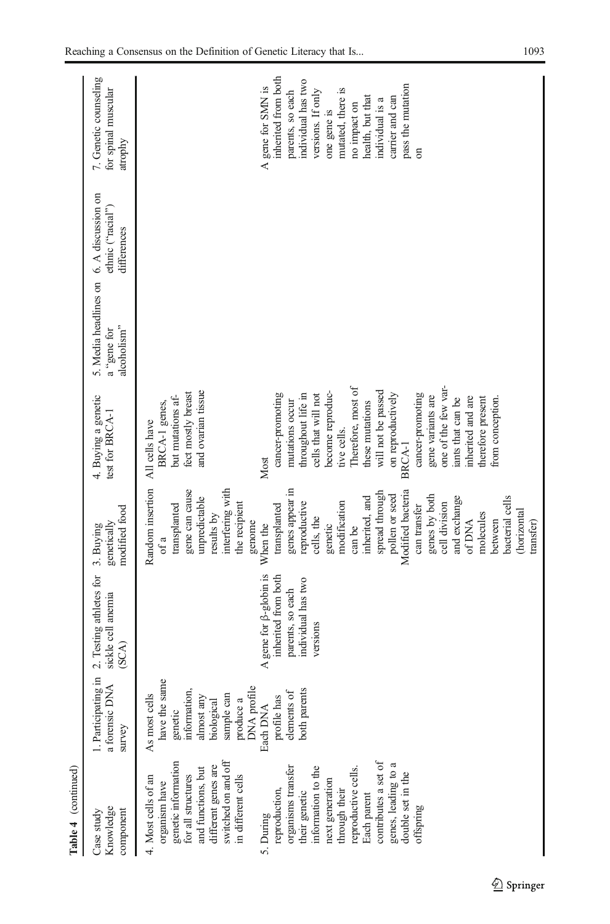| Table 4 (continued)                                                                                                                                                                                                                                                                                                                                                                                                               |                                                                                                                                                                                                                         |                                                                                                            |                                                                                                                                                                                                                                                                                                                                                                                                                                                                                         |                                                                                                                                                                                                                                                                                                                                                                                                                                                                                  |                                                     |                                                        |                                                                                                                                                                                                                                                      |
|-----------------------------------------------------------------------------------------------------------------------------------------------------------------------------------------------------------------------------------------------------------------------------------------------------------------------------------------------------------------------------------------------------------------------------------|-------------------------------------------------------------------------------------------------------------------------------------------------------------------------------------------------------------------------|------------------------------------------------------------------------------------------------------------|-----------------------------------------------------------------------------------------------------------------------------------------------------------------------------------------------------------------------------------------------------------------------------------------------------------------------------------------------------------------------------------------------------------------------------------------------------------------------------------------|----------------------------------------------------------------------------------------------------------------------------------------------------------------------------------------------------------------------------------------------------------------------------------------------------------------------------------------------------------------------------------------------------------------------------------------------------------------------------------|-----------------------------------------------------|--------------------------------------------------------|------------------------------------------------------------------------------------------------------------------------------------------------------------------------------------------------------------------------------------------------------|
| Knowledge<br>Case study<br>component                                                                                                                                                                                                                                                                                                                                                                                              | $\frac{1}{2}$<br>a forensic DNA<br>1. Participating<br>survey                                                                                                                                                           | 2. Testing athletes for<br>sickle cell anemia<br>(SCA)                                                     | modified food<br>genetically<br>3. Buying                                                                                                                                                                                                                                                                                                                                                                                                                                               | 4. Buying a genetic<br>test for BRCA-1                                                                                                                                                                                                                                                                                                                                                                                                                                           | 5. Media headlines on<br>alcoholism"<br>a "gene for | 6. A discussion on<br>ethnic ("racial")<br>differences | 7. Genetic counseling<br>for spinal muscular<br>atrophy                                                                                                                                                                                              |
| genetic information<br>for all structures<br>switched on and off<br>contributes a set of<br>genes, leading to a<br>different genes are<br>organisms transfer<br>information to the<br>reproductive cells.<br>and functions, but<br>double set in the<br>in different cells<br>4. Most cells of an<br>next generation<br>through their<br>organism have<br>reproduction,<br>their genetic<br>Each parent<br>offspring<br>5. During | have the same<br>produce a<br>DNA profile<br>genetic<br>information,<br>sample can<br>profile has<br>elements of $% \left( \mathcal{A}\right)$<br>both parents<br>As most cells<br>almost any<br>biological<br>Each DNA | A gene for $\beta$ -globin is<br>inherited from both<br>individual has two<br>parents, so each<br>versions | Random insertion<br>interfering with<br>genes appear in<br>gene can cause<br>Modified bacteria<br>spread through<br>pollen or seed<br>genes by both<br>bacterial cells<br>inherited, and<br>and exchange<br>unpredictable<br>modification<br>reproductive<br>cell division<br>transplanted<br>the recipient<br>transplanted<br>can transfer<br>horizontal<br>results by<br>molecules<br>cells, the<br>genome<br>of DNA<br>between<br>transfer)<br>When the<br>genetic<br>can be<br>ot a | one of the few var-<br>Therefore, most of<br>and ovarian tissue<br>will not be passed<br>become reproduc-<br>fect mostly breast<br>on reproductively<br>cancer-promoting<br>cancer-promoting<br>throughout life in<br>cells that will not<br>gene variants are<br>but mutations af-<br>inherited and are<br>therefore present<br>iants that can be<br>from conception.<br>mutations occur<br>these mutations<br>BRCA-1 genes,<br>All cells have<br>tive cells.<br>BRCA-1<br>Most |                                                     |                                                        | inherited from both<br>individual has two<br>pass the mutation<br>A gene for SMN is<br>mutated, there is<br>versions. If only<br>parents, so each<br>carrier and can<br>health, but that<br>individual is a<br>no impact on<br>one gene is<br>$\sin$ |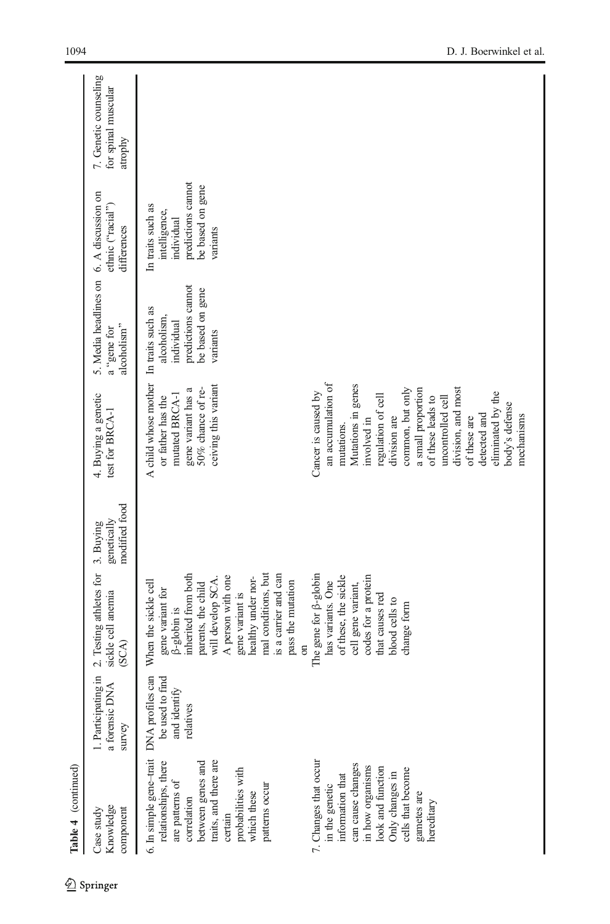| Table 4 (continued)                                                                                                                                                                                                                                           |                                                 |                                                                                                                                                                                                                                                                                                                                   |                                           |                                                                                                                                                                                                                                                                                      |                                                                                                      |                                                                                                        |                                                         |
|---------------------------------------------------------------------------------------------------------------------------------------------------------------------------------------------------------------------------------------------------------------|-------------------------------------------------|-----------------------------------------------------------------------------------------------------------------------------------------------------------------------------------------------------------------------------------------------------------------------------------------------------------------------------------|-------------------------------------------|--------------------------------------------------------------------------------------------------------------------------------------------------------------------------------------------------------------------------------------------------------------------------------------|------------------------------------------------------------------------------------------------------|--------------------------------------------------------------------------------------------------------|---------------------------------------------------------|
| Knowledge<br>component<br>Case study                                                                                                                                                                                                                          | 1. Participating in<br>a forensic DNA<br>survey | 2. Testing athletes for<br>sickle cell anemia<br>(SCA)                                                                                                                                                                                                                                                                            | modified food<br>genetically<br>3. Buying | 4. Buying a genetic<br>test for BRCA-1                                                                                                                                                                                                                                               | 5. Media headlines on 6. A discussion on<br>alcoholism"<br>a "gene for                               | ethnic ("racial")<br>differences                                                                       | 7. Genetic counseling<br>for spinal muscular<br>atrophy |
| 6. In simple gene-trait DNA profiles can<br>traits, and there are<br>7. Changes that occur<br>relationships, there<br>between genes and<br>probabilities with<br>are patterns of<br>patterns occur<br>in the genetic<br>which these<br>correlation<br>certain | be used to find<br>and identify<br>relatives    | mal conditions, but<br>inherited from both<br>is a carrier and can<br>The gene for $\beta$ -globin<br>A person with one<br>healthy under nor-<br>will develop SCA.<br>When the sickle cell<br>pass the mutation<br>has variants. One<br>parents, the child<br>gene variant for<br>gene variant is<br>$\beta$ -globin is<br>$\sin$ |                                           | A child whose mother<br>an accumulation of<br>ceiving this variant<br>$50\%$ chance of re-<br>gene variant has a<br>Cancer is caused by<br>mutated BRCA-1<br>or father has the                                                                                                       | predictions cannot<br>be based on gene<br>In traits such as<br>alcoholism,<br>individual<br>variants | predictions cannot<br>be based on gene<br>In traits such as<br>intelligence,<br>individual<br>variants |                                                         |
| can cause changes<br>in how organisms<br>look and function<br>cells that become<br>Only changes in<br>information that<br>gametes are<br>hereditary                                                                                                           |                                                 | codes for a protein<br>of these, the sickle<br>cell gene variant,<br>that causes red<br>blood cells to<br>change form                                                                                                                                                                                                             |                                           | Mutations in genes<br>common, but only<br>division, and most<br>a small proportion<br>eliminated by the<br>regulation of cell<br>of these leads to<br>uncontrolled cell<br>body's defense<br>detected and<br>mechanisms<br>division are<br>of these are<br>involved in<br>mutations. |                                                                                                      |                                                                                                        |                                                         |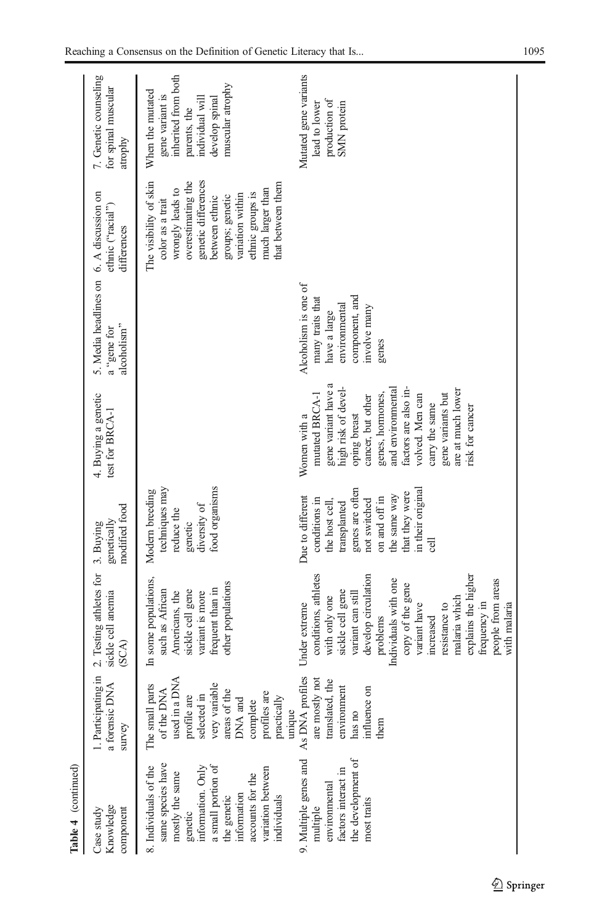| Table 4 (continued)                                                                                                                                                                                       |                                                                                                                                                                               |                                                                                                                                                                                                                                                                                                                           |                                                                                                                                                                                     |                                                                                                                                                                                                                                                                                      |                                                                                                                      |                                                                                                                                                                                                                                   |                                                                                                                                     |
|-----------------------------------------------------------------------------------------------------------------------------------------------------------------------------------------------------------|-------------------------------------------------------------------------------------------------------------------------------------------------------------------------------|---------------------------------------------------------------------------------------------------------------------------------------------------------------------------------------------------------------------------------------------------------------------------------------------------------------------------|-------------------------------------------------------------------------------------------------------------------------------------------------------------------------------------|--------------------------------------------------------------------------------------------------------------------------------------------------------------------------------------------------------------------------------------------------------------------------------------|----------------------------------------------------------------------------------------------------------------------|-----------------------------------------------------------------------------------------------------------------------------------------------------------------------------------------------------------------------------------|-------------------------------------------------------------------------------------------------------------------------------------|
| Knowledge<br>component<br>Case study                                                                                                                                                                      | survey                                                                                                                                                                        | 1. Participating in 2. Testing athletes for<br>a forensic DNA sickle cell anemia<br>sickle cell anemia<br>(SCA)                                                                                                                                                                                                           | modified food<br>genetically<br>3. Buying                                                                                                                                           | 4. Buying a genetic<br>test for BRCA-1                                                                                                                                                                                                                                               | 5. Media headlines on 6. A discussion on<br>alcoholism"<br>a "gene for                                               | ethnic ("racial")<br>differences                                                                                                                                                                                                  | 7. Genetic counseling<br>for spinal muscular<br>atrophy                                                                             |
| same species have<br>8. Individuals of the<br>information. Only<br>a small portion of<br>variation between<br>mostly the same<br>accounts for the<br>information<br>individuals<br>the genetic<br>genetic | used in a DNA<br>very variable<br>The small parts<br>of the DNA<br>areas of the<br>profiles are<br>profile are<br>selected in<br>DNA and<br>practically<br>complete<br>unique | In some populations,<br>other populations<br>frequent than in<br>sickle cell gene<br>such as African<br>variant is more<br>Americans, the                                                                                                                                                                                 | techniques may<br>food organisms<br>Modern breeding<br>diversity of<br>reduce the<br>genetic                                                                                        |                                                                                                                                                                                                                                                                                      |                                                                                                                      | The visibility of skin<br>genetic differences<br>overestimating the<br>that between them<br>much larger than<br>wrongly leads to<br>ethnic groups is<br>variation within<br>groups; genetic<br>between ethnic<br>color as a trait | inherited from both<br>muscular atrophy<br>When the mutated<br>gene variant is<br>develop spinal<br>individual will<br>parents, the |
| 9. Multiple genes and<br>the development of<br>factors interact in<br>environmental<br>most traits<br>multiple                                                                                            | As DNA profiles<br>are mostly not<br>translated, the<br>environment<br>influence on<br>has no<br>them                                                                         | conditions, athletes<br>develop circulation<br>explains the higher<br>people from areas<br>Individuals with one<br>copy of the gene<br>sickle cell gene<br>variant can still<br>with only one<br>malaria which<br>Under extreme<br>frequency in<br>with malaria<br>variant have<br>resistance to<br>problems<br>increased | genes are often<br>in their original<br>that they were<br>the same way<br>Due to different<br>on and off in<br>conditions in<br>not switched<br>the host cell,<br>transplanted<br>ಕ | gene variant have a<br>high risk of devel-<br>and environmental<br>factors are also in-<br>are at much lower<br>mutated BRCA-1<br>genes, hormones,<br>gene variants but<br>cancer, but other<br>volved. Men can<br>carry the same<br>risk for cancer<br>oping breast<br>Women with a | Alcoholism is one of<br>component, and<br>many traits that<br>environmental<br>involve many<br>have a large<br>genes |                                                                                                                                                                                                                                   | Mutated gene variants<br>production of<br>SMN protein<br>lead to lower                                                              |
|                                                                                                                                                                                                           |                                                                                                                                                                               |                                                                                                                                                                                                                                                                                                                           |                                                                                                                                                                                     |                                                                                                                                                                                                                                                                                      |                                                                                                                      |                                                                                                                                                                                                                                   |                                                                                                                                     |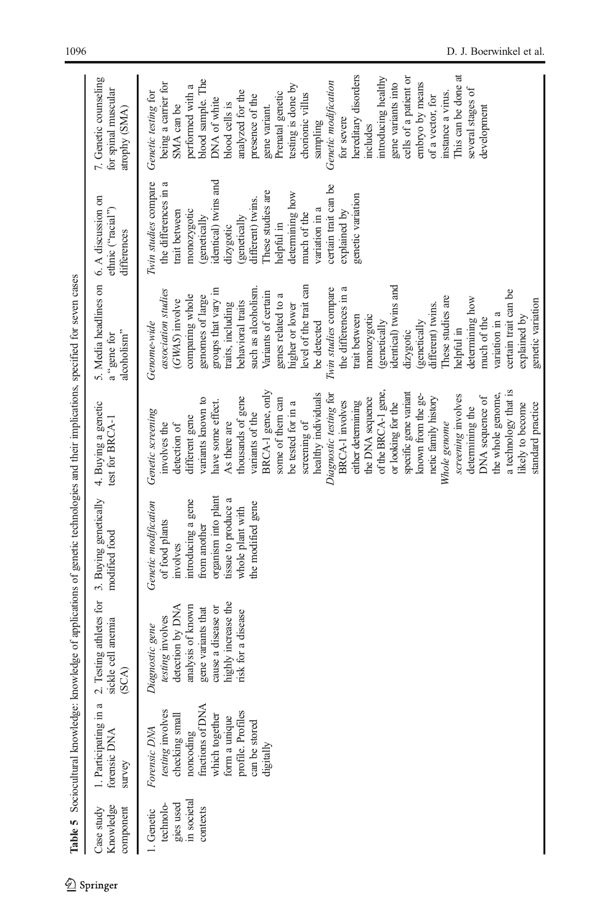|                                                                 |                                                                                                                                                                           |                                                                                                                                                                       | Table 5 Sociocultural knowledge: knowledge of applications of genetic technologies and their implications, specified for seven cases                                            |                                                                                                                                                                                                                                                                                                                                                                                                                                                                                                                                                                                                                                                                 |                                                                                                                                                                                                                                                                                                                                                                                                                                                                                                                                                                                                                        |                                                                                                                                                                                                                                                                                                                            |                                                                                                                                                                                                                                                                                                                                                                                                                                                                                                                                              |
|-----------------------------------------------------------------|---------------------------------------------------------------------------------------------------------------------------------------------------------------------------|-----------------------------------------------------------------------------------------------------------------------------------------------------------------------|---------------------------------------------------------------------------------------------------------------------------------------------------------------------------------|-----------------------------------------------------------------------------------------------------------------------------------------------------------------------------------------------------------------------------------------------------------------------------------------------------------------------------------------------------------------------------------------------------------------------------------------------------------------------------------------------------------------------------------------------------------------------------------------------------------------------------------------------------------------|------------------------------------------------------------------------------------------------------------------------------------------------------------------------------------------------------------------------------------------------------------------------------------------------------------------------------------------------------------------------------------------------------------------------------------------------------------------------------------------------------------------------------------------------------------------------------------------------------------------------|----------------------------------------------------------------------------------------------------------------------------------------------------------------------------------------------------------------------------------------------------------------------------------------------------------------------------|----------------------------------------------------------------------------------------------------------------------------------------------------------------------------------------------------------------------------------------------------------------------------------------------------------------------------------------------------------------------------------------------------------------------------------------------------------------------------------------------------------------------------------------------|
| Knowledge<br>Case study<br>component                            | 1. Participating in a<br>forensic DNA<br>survey                                                                                                                           | Testing athletes for<br>sickle cell anemia<br>(SCA)<br>r,                                                                                                             | 3. Buying genetically<br>modified food                                                                                                                                          | 4. Buying a genetic<br>test for $BRCA-1$                                                                                                                                                                                                                                                                                                                                                                                                                                                                                                                                                                                                                        | 5. Media headlines on<br>alcoholism"<br>a "gene for                                                                                                                                                                                                                                                                                                                                                                                                                                                                                                                                                                    | 6. A discussion on<br>ethnic ("racial")<br>differences                                                                                                                                                                                                                                                                     | 7. Genetic counseling<br>for spinal muscular<br>atrophy (SMA)                                                                                                                                                                                                                                                                                                                                                                                                                                                                                |
| gies used<br>in societal<br>technolo-<br>contexts<br>1. Genetic | fractions of DNA<br>testing involves<br>profile. Profiles<br>which together<br>checking small<br>form a unique<br>can be stored<br>Forensic DNA<br>noncoding<br>digitally | highly increase the<br>analysis of known<br>detection by DNA<br>cause a disease or<br>gene variants that<br>risk for a disease<br>testing involves<br>Diagnostic gene | organism into plant<br>tissue to produce a<br>introducing a gene<br>Genetic modification<br>the modified gene<br>whole plant with<br>of food plants<br>from another<br>involves | BRCA-1 gene, only<br>a technology that is<br>of the BRCA-1 gene,<br>specific gene variant<br>healthy individuals<br>the whole genome,<br>Diagnostic testing for<br>known from the ge-<br>screening involves<br>thousands of gene<br>DNA sequence of<br>the DNA sequence<br>netic family history<br>variants known to<br>some of them can<br>have some effect.<br><b>BRCA-1</b> involves<br>either determining<br>be tested for in a<br>or looking for the<br>standard practice<br>likely to become<br>determining the<br>Genetic screening<br>variants of the<br>different gene<br>screening of<br>Whole genome<br>involves the<br>As there are<br>detection of | identical) twins and<br>level of the trait can<br>such as alcoholism<br>Twin studies compare<br>groups that vary in<br>certain trait can be<br>association studies<br>Variants of certain<br>genes related to a<br>comparing whole<br>the differences in<br>genomes of large<br>These studies are<br>determining how<br>(GWAS) involve<br>genetic variation<br>behavioral traits<br>traits, including<br>higher or lower<br>different) twins.<br>variation in a<br>monozygotic<br>trait between<br>explained by<br>much of the<br>be detected<br>(genetically<br>genetically<br>Genome-wide<br>helpful in<br>dizygotic | identical) twins and<br>Twin studies compare<br>the differences in a<br>certain trait can be<br>These studies are<br>determining how<br>genetic variation<br>different) twins.<br>variation in a<br>monozygotic<br>trait between<br>explained by<br>much of the<br>(genetically<br>(genetically<br>helpful in<br>dizygotic | This can be done at<br>hereditary disorders<br>cells of a patient or<br>introducing healthy<br>blood sample. The<br>Genetic modification<br>embryo by means<br>being a carrier for<br>gene variants into<br>testing is done by<br>performed with a<br>several stages of<br>analyzed for the<br>Genetic testing for<br>Prenatal genetic<br>instance a virus.<br>chorionic villus<br>presence of the<br>of a vector, for<br>DNA of white<br>blood cells is<br>SMA can be<br>gene variant.<br>development<br>for severe<br>sampling<br>includes |

<span id="page-9-0"></span>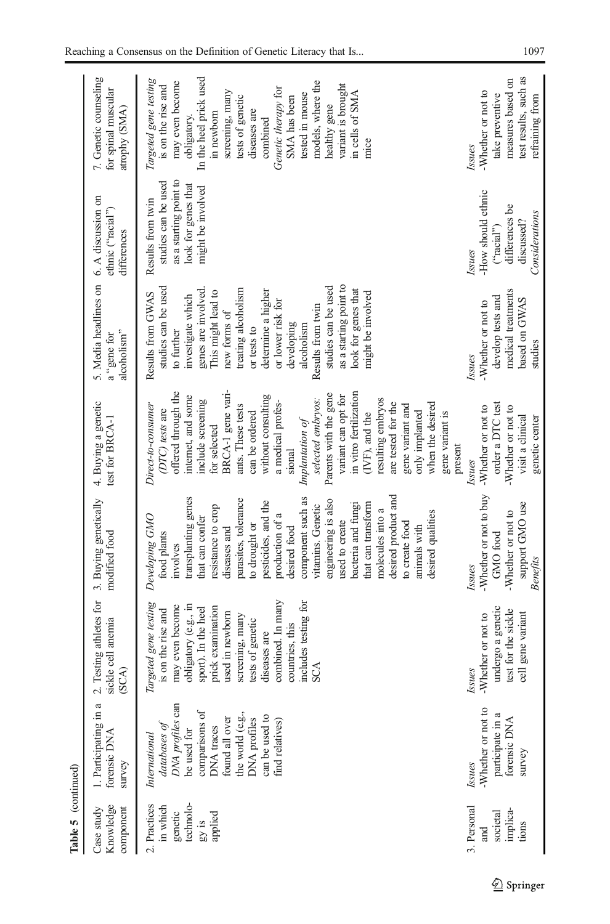| Table 5 (continued)                                                  |                                                                                                                                                                                                    |                                                                                                                                                                                                                                                                                     |                                                                                                                                                                                                                                                                                                                                                                                                                                                               |                                                                                                                                                                                                                                                                                                                                                                                                                                                                                                                   |                                                                                                                                                                                                                                                                                                                                                                         |                                                                                                                |                                                                                                                                                                                                                                                                                                                                          |
|----------------------------------------------------------------------|----------------------------------------------------------------------------------------------------------------------------------------------------------------------------------------------------|-------------------------------------------------------------------------------------------------------------------------------------------------------------------------------------------------------------------------------------------------------------------------------------|---------------------------------------------------------------------------------------------------------------------------------------------------------------------------------------------------------------------------------------------------------------------------------------------------------------------------------------------------------------------------------------------------------------------------------------------------------------|-------------------------------------------------------------------------------------------------------------------------------------------------------------------------------------------------------------------------------------------------------------------------------------------------------------------------------------------------------------------------------------------------------------------------------------------------------------------------------------------------------------------|-------------------------------------------------------------------------------------------------------------------------------------------------------------------------------------------------------------------------------------------------------------------------------------------------------------------------------------------------------------------------|----------------------------------------------------------------------------------------------------------------|------------------------------------------------------------------------------------------------------------------------------------------------------------------------------------------------------------------------------------------------------------------------------------------------------------------------------------------|
| Knowledge<br>Case study<br>component                                 | 1. Participating in a<br>forensic DNA<br>survey                                                                                                                                                    | 2. Testing athletes for<br>sickle cell anemia<br>(A)                                                                                                                                                                                                                                | 3. Buying genetically<br>modified food                                                                                                                                                                                                                                                                                                                                                                                                                        | 4. Buying a genetic<br>test for BRCA-1                                                                                                                                                                                                                                                                                                                                                                                                                                                                            | 5. Media headlines on<br>alcoholism"<br>a "gene for                                                                                                                                                                                                                                                                                                                     | 6. A discussion on<br>ethnic ("racial")<br>differences                                                         | 7. Genetic counseling<br>for spinal muscular<br>atrophy (SMA)                                                                                                                                                                                                                                                                            |
| technolo-<br>2. Practices<br>in which<br>genetic<br>applied<br>gy is | DNA profiles can<br>comparisons of<br>the world (e.g.,<br>can be used to<br><b>DNA</b> profiles<br>found all over<br>find relatives)<br>databases of<br>DNA traces<br>be used for<br>International | combined. In many<br>includes testing for<br>Targeted gene testing<br>obligatory (e.g., in<br>may even become<br>sport). In the heel<br>prick examination<br>is on the rise and<br>used in newborn<br>screening, many<br>tests of genetic<br>countries, this<br>diseases are<br>SCA | desired product and<br>transplanting genes<br>component such as<br>parasites, tolerance<br>engineering is also<br>pesticides, and the<br>that can transform<br>bacteria and fungi<br>resistance to crop<br>vitamins. Genetic<br>molecules into a<br>desired qualities<br>production of a<br>Developing GMO<br>that can confer<br>used to create<br>to create food<br>to drought or<br>animals with<br>diseases and<br>desired food<br>food plants<br>involves | BRCA-1 gene vari-<br>offered through the<br>in vitro fertilization<br>Parents with the gene<br>internet, and some<br>without consulting<br>variant can opt for<br>resulting embryos<br>selected embryos:<br>include screening<br>a medical profes-<br>are tested for the<br>when the desired<br>Direct-to-consumer<br>ants. These tests<br>gene variant and<br>(DTC) tests are<br>only implanted<br>can be ordered<br>(IVF), and the<br>gene variant is<br>$Implantation$ of<br>for selected<br>present<br>sional | as a starting point to<br>studies can be used<br>studies can be used<br>genes are involved.<br>treating alcoholism<br>look for genes that<br>determine a higher<br>This might lead to<br>might be involved<br>Results from GWAS<br>investigate which<br>or lower risk for<br>Results from twin<br>new forms of<br>developing<br>alcoholism<br>or tests to<br>to further | as a starting point to<br>studies can be used<br>look for genes that<br>might be involved<br>Results from twin | In the heel prick used<br>Targeted gene testing<br>models, where the<br>may even become<br>variant is brought<br>is on the rise and<br>Genetic therapy for<br>screening, many<br>in cells of SMA<br>tested in mouse<br>SMA has been<br>tests of genetic<br>healthy gene<br>diseases are<br>in newborn<br>obligatory.<br>combined<br>mice |
| 3. Personal<br>implica-<br>societal<br>ions<br>and                   | -Whether or not to<br>participate in a<br>forensic DNA<br>survey<br>Issues                                                                                                                         | undergo a genetic<br>test for the sickle<br>cell gene variant<br>Whether or not to<br><b>Issues</b>                                                                                                                                                                                 | -Whether or not to buy<br>support GMO use<br>-Whether or not to<br>GMO food<br>Benefits<br>Issues                                                                                                                                                                                                                                                                                                                                                             | order a DTC test<br>-Whether or not to<br>Whether or not to<br>visit a clinical<br>genetic center<br><b>Issues</b>                                                                                                                                                                                                                                                                                                                                                                                                | medical treatments<br>develop tests and<br>based on GWAS<br>-Whether or not to<br>studies<br>Issues                                                                                                                                                                                                                                                                     | How should ethnic<br>differences be<br>Considerations<br>discussed?<br>("racial")<br><b>Issues</b>             | test results, such as<br>measures based on<br>-Whether or not to<br>take preventive<br>refraining from<br><b>Issues</b>                                                                                                                                                                                                                  |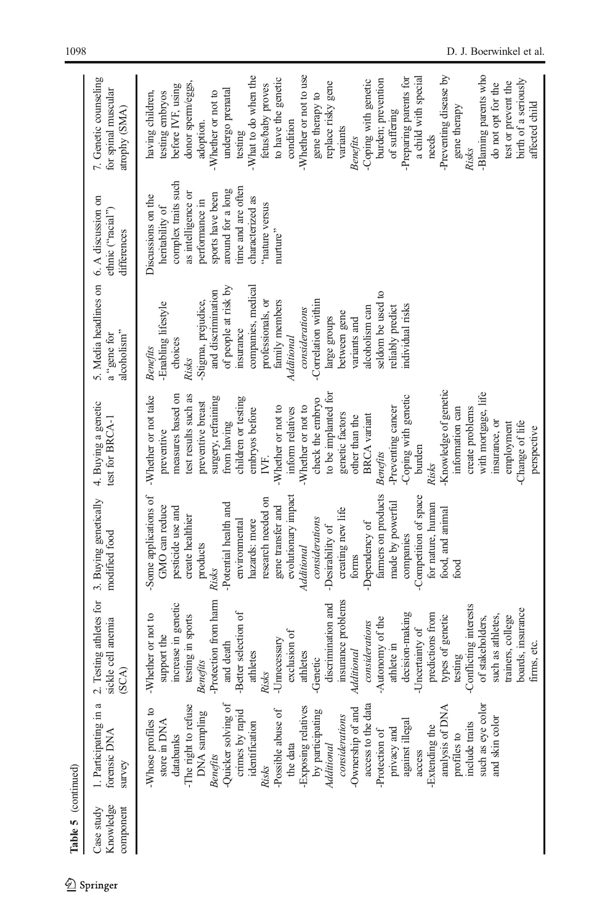| Table 5 (continued)                  |                                                                                                                                                                                                                                                                                                                                                                                                                                                                                                                  |                                                                                                                                                                                                                                                                                                                                                                                                                                                                                                                                                                 |                                                                                                                                                                                                                                                                                                                                                                                                                                                                          |                                                                                                                                                                                                                                                                                                                                                                                                                                                                                                                                                                                             |                                                                                                                                                                                                                                                                                                                                                                                               |                                                                                                                                                                                                                      |                                                                                                                                                                                                                                                                                                                                                                                                                                                                                                                                                                                                          |
|--------------------------------------|------------------------------------------------------------------------------------------------------------------------------------------------------------------------------------------------------------------------------------------------------------------------------------------------------------------------------------------------------------------------------------------------------------------------------------------------------------------------------------------------------------------|-----------------------------------------------------------------------------------------------------------------------------------------------------------------------------------------------------------------------------------------------------------------------------------------------------------------------------------------------------------------------------------------------------------------------------------------------------------------------------------------------------------------------------------------------------------------|--------------------------------------------------------------------------------------------------------------------------------------------------------------------------------------------------------------------------------------------------------------------------------------------------------------------------------------------------------------------------------------------------------------------------------------------------------------------------|---------------------------------------------------------------------------------------------------------------------------------------------------------------------------------------------------------------------------------------------------------------------------------------------------------------------------------------------------------------------------------------------------------------------------------------------------------------------------------------------------------------------------------------------------------------------------------------------|-----------------------------------------------------------------------------------------------------------------------------------------------------------------------------------------------------------------------------------------------------------------------------------------------------------------------------------------------------------------------------------------------|----------------------------------------------------------------------------------------------------------------------------------------------------------------------------------------------------------------------|----------------------------------------------------------------------------------------------------------------------------------------------------------------------------------------------------------------------------------------------------------------------------------------------------------------------------------------------------------------------------------------------------------------------------------------------------------------------------------------------------------------------------------------------------------------------------------------------------------|
| Knowledge<br>Case study<br>component | . Participating in a<br>forensic DNA<br>survey                                                                                                                                                                                                                                                                                                                                                                                                                                                                   | 2. Testing athletes for<br>ickle cell anemia<br>(A)                                                                                                                                                                                                                                                                                                                                                                                                                                                                                                             | 3. Buying genetically<br>modified food                                                                                                                                                                                                                                                                                                                                                                                                                                   | 4. Buying a genetic<br>test for BRCA-1                                                                                                                                                                                                                                                                                                                                                                                                                                                                                                                                                      | 5. Media headlines on<br>alcoholism"<br>a "gene for                                                                                                                                                                                                                                                                                                                                           | 6. A discussion on<br>ethnic ("racial")<br>differences                                                                                                                                                               | 7. Genetic counseling<br>for spinal muscular<br>atrophy (SMA)                                                                                                                                                                                                                                                                                                                                                                                                                                                                                                                                            |
|                                      | such as eye color<br>-Quicker solving of<br>access to the data<br>-The right to refuse<br>Exposing relatives<br>analysis of DNA<br>-Ownership of and<br>Whose profiles to<br>by participating<br>DNA sampling<br>-Possible abuse of<br>crimes by rapid<br>considerations<br>and skin color<br>against illegal<br>store in DNA<br>identification<br>include traits<br>-Extending the<br>privacy and<br>-Protection of<br>databanks<br>profiles to<br>the data<br>Additional<br>access<br><b>Benefits</b><br>Risks | Protection from harm<br>insurance problems<br>increase in genetic<br>discrimination and<br>-Conflicting interests<br>boards, insurance<br>Better selection of<br>decision-making<br>predictions from<br>Whether or not to<br>testing in sports<br>types of genetic<br>such as athletes.<br>of stakeholders,<br>trainers, college<br>Autonomy of the<br>considerations<br>-Uncertainty of<br>exclusion of<br>support the<br>Unnecessary<br>and death<br>athlete in<br><b>Aditional</b><br>athletes<br>athletes<br>testing<br>Genetic<br><b>Benefits</b><br>Risks | farmers on products<br>-Some applications of<br>-Competition of space<br>evolutionary impact<br>research needed on<br>-Potential health and<br>made by powerful<br>for nature, human<br>gene transfer and<br>GMO can reduce<br>pesticide use and<br>creating new life<br>food, and animal<br>create healthier<br>considerations<br>environmental<br>hazards: more<br>-Dependency of<br>-Desirability of<br>companies<br>products<br>Additional<br>forms<br>food<br>Risks | -Knowledge of genetic<br>to be implanted for<br>with mortgage, life<br>test results such as<br>Coping with genetic<br>-Whether or not take<br>measures based on<br>surgery, refraining<br>children or testing<br>check the embryo<br>preventive breast<br>Whether or not to<br>-Whether or not to<br>inform relatives<br>-Preventing cancer<br>create problems<br>embryos before<br>information can<br>genetic factors<br><b>BRCA</b> variant<br>other than the<br>from having<br>insurance, or<br>Change of life<br>employment<br>preventive<br>burden<br><b>Benefits</b><br>IVF.<br>Risks | of people at risk by<br>companies, medical<br>and discrimination<br>seldom be used to<br>Stigma, prejudice,<br>Correlation within<br>professionals, or<br>family members<br>-Enabling lifestyle<br>individual risks<br>considerations<br>reliably predict<br>alcoholism can<br>between gene<br>large groups<br>variants and<br>insurance<br>Additional<br>choices<br><b>Benefits</b><br>Risks | complex traits such<br>time and are often<br>around for a long<br>as intelligence or<br>sports have been<br>Discussions on the<br>characterized as<br>performance in<br>nature versus<br>heritability of<br>nurture" | -Blaming parents who<br>-Whether or not to use<br>Preventing disease by<br>What to do when the<br>-Preparing parents for<br>a child with special<br>to have the genetic<br>birth of a seriously<br>burden; prevention<br>Coping with genetic<br>replace risky gene<br>test or prevent the<br>donor sperm/eggs,<br>do not opt for the<br>fetus/baby proves<br>before IVF, using<br>undergo prenatal<br>having children,<br>testing embryos<br>-Whether or not to<br>gene therapy to<br>gene therapy<br>of suffering<br>condition<br>adoption.<br>variants<br>testing<br>needs<br><b>Benefits</b><br>Risks |
|                                      |                                                                                                                                                                                                                                                                                                                                                                                                                                                                                                                  | firms, etc.                                                                                                                                                                                                                                                                                                                                                                                                                                                                                                                                                     |                                                                                                                                                                                                                                                                                                                                                                                                                                                                          | perspective                                                                                                                                                                                                                                                                                                                                                                                                                                                                                                                                                                                 |                                                                                                                                                                                                                                                                                                                                                                                               |                                                                                                                                                                                                                      | affected child                                                                                                                                                                                                                                                                                                                                                                                                                                                                                                                                                                                           |

 $\underline{\textcircled{\tiny 2}}$  Springer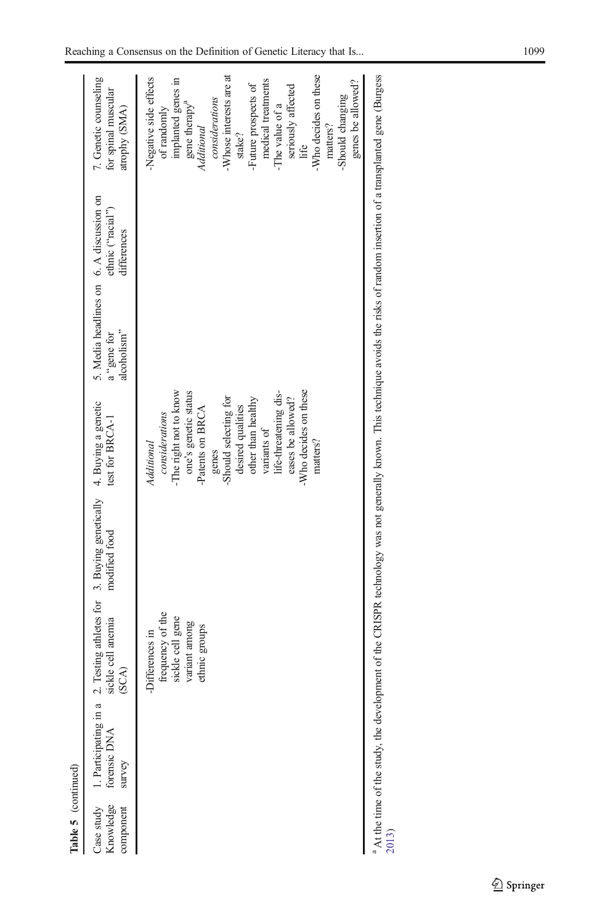| 2. Testing athletes for 3. Buying genetically<br>modified food |                                                                                                                                                                                              | alcoholism"<br>a "gene for                                                                                                 | ethnic ("racial")<br>differences | 7. Genetic counseling<br>for spinal muscular<br>atrophy (SMA)                                                                                                                                                                                                                                                                             |
|----------------------------------------------------------------|----------------------------------------------------------------------------------------------------------------------------------------------------------------------------------------------|----------------------------------------------------------------------------------------------------------------------------|----------------------------------|-------------------------------------------------------------------------------------------------------------------------------------------------------------------------------------------------------------------------------------------------------------------------------------------------------------------------------------------|
|                                                                | one's genetic status<br>life-threatening dis-<br>-Should selecting for<br>other than healthy<br>eases be allowed?<br>desired qualities<br>considerations<br>variants of<br>matters?<br>genes |                                                                                                                            |                                  | -Whose interests are at<br>-Who decides on these<br>Negative side effects<br>implanted genes in<br>medical treatments<br>genes be allowed?<br>-Future prospects of<br>seriously affected<br>-Should changing<br>considerations<br>gene therapy <sup>a</sup><br>-The value of a<br>of randomly<br>matters?<br>Additional<br>stake?<br>life |
|                                                                |                                                                                                                                                                                              | -Who decides on these<br>-The right not to know<br>4. Buying a genetic<br>Patents on BRCA<br>test for BRCA-1<br>Additional |                                  | <sup>3</sup> At the time of the study, the development of the CRISPR technology was not generally known. This technique avoids the risks of random insertion of a transplanted gene (Burgess<br>5. Media headlines on 6. A discussion on                                                                                                  |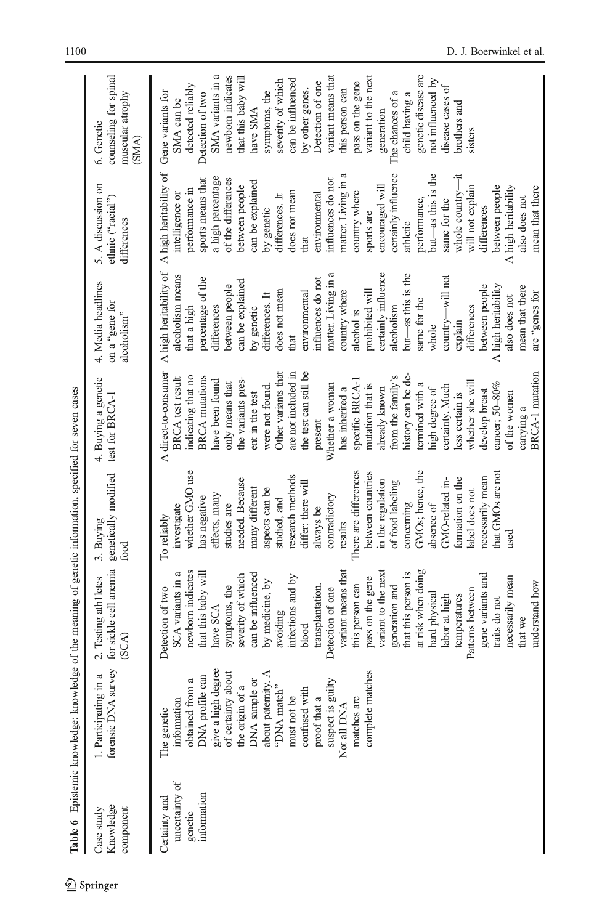<span id="page-13-0"></span>

|                                                           | Table 6 Epistemic knowledge: knowledge of the meaning of genetic information, specified for seven cases                                                                                                                                                                                                    |                                                                                                                                                                                                                                                                                                                                                                                                                                                                                                                                                                               |                                                                                                                                                                                                                                                                                                                                                                                                                                                                                                         |                                                                                                                                                                                                                                                                                                                                                                                                                                                                                                                                                                                                                 |                                                                                                                                                                                                                                                                                                                                                                                                                                                                                                                                               |                                                                                                                                                                                                                                                                                                                                                                                                                                                                                                                                                                            |                                                                                                                                                                                                                                                                                                                                                                                                                                                                                            |
|-----------------------------------------------------------|------------------------------------------------------------------------------------------------------------------------------------------------------------------------------------------------------------------------------------------------------------------------------------------------------------|-------------------------------------------------------------------------------------------------------------------------------------------------------------------------------------------------------------------------------------------------------------------------------------------------------------------------------------------------------------------------------------------------------------------------------------------------------------------------------------------------------------------------------------------------------------------------------|---------------------------------------------------------------------------------------------------------------------------------------------------------------------------------------------------------------------------------------------------------------------------------------------------------------------------------------------------------------------------------------------------------------------------------------------------------------------------------------------------------|-----------------------------------------------------------------------------------------------------------------------------------------------------------------------------------------------------------------------------------------------------------------------------------------------------------------------------------------------------------------------------------------------------------------------------------------------------------------------------------------------------------------------------------------------------------------------------------------------------------------|-----------------------------------------------------------------------------------------------------------------------------------------------------------------------------------------------------------------------------------------------------------------------------------------------------------------------------------------------------------------------------------------------------------------------------------------------------------------------------------------------------------------------------------------------|----------------------------------------------------------------------------------------------------------------------------------------------------------------------------------------------------------------------------------------------------------------------------------------------------------------------------------------------------------------------------------------------------------------------------------------------------------------------------------------------------------------------------------------------------------------------------|--------------------------------------------------------------------------------------------------------------------------------------------------------------------------------------------------------------------------------------------------------------------------------------------------------------------------------------------------------------------------------------------------------------------------------------------------------------------------------------------|
| Knowledge<br>Case study<br>component                      | forensic DNA survey<br>$\approx$<br>1. Participating in                                                                                                                                                                                                                                                    | for sickle cell anemia<br>2. Testing athletes<br>(SCA)                                                                                                                                                                                                                                                                                                                                                                                                                                                                                                                        | genetically modified<br>3. Buying<br>food                                                                                                                                                                                                                                                                                                                                                                                                                                                               | 4. Buying a genetic<br>test for BRCA-1                                                                                                                                                                                                                                                                                                                                                                                                                                                                                                                                                                          | 4. Media headlines<br>tor seem for<br>alcoholism"                                                                                                                                                                                                                                                                                                                                                                                                                                                                                             | 5. A discussion on<br>ethnic ("racial")<br>differences                                                                                                                                                                                                                                                                                                                                                                                                                                                                                                                     | counseling for spinal<br>muscular atrophy<br>6. Genetic<br>(SMA)                                                                                                                                                                                                                                                                                                                                                                                                                           |
| uncertainty of<br>information<br>Certainty and<br>genetic | give a high degree<br>complete matches<br>about paternity. A<br>of certainty about<br>DNA profile can<br>DNA sample or<br>suspect is guilty<br>the origin of a<br>"DNA match"<br>confused with<br>obtained from<br>must not be<br>proof that a<br>matches are<br>information<br>Not all DNA<br>The genetic | at risk when doing<br>variant means that<br>variant to the next<br>newborn indicates<br>SCA variants in a<br>that this baby will<br>that this person is<br>gene variants and<br>severity of which<br>can be influenced<br>infections and by<br>necessarily mean<br>pass on the gene<br>by medicine, by<br>understand how<br>this person can<br>symptoms, the<br>transplantation.<br>generation and<br>Detection of one<br>Detection of two<br>Patterns between<br>hard physical<br>labor at high<br>temperatures<br>traits do not<br>have SCA<br>avoiding<br>that we<br>blood | whether GMO use<br>GMOs; hence, the<br>There are differences<br>that GMOs are not<br>between countries<br>research methods<br>necessarily mean<br>formation on the<br>needed. Because<br>GMO-related in-<br>in the regulation<br>differ; there will<br>of food labeling<br>many different<br>aspects can be<br>abel does not<br>effects, many<br>contradictory<br>has negative<br>studied, and<br>concerning<br>absence of<br>studies are<br>investigate<br>always be<br>To reliably<br>results<br>used | BRCA-1 mutation<br>A direct-to-consumer<br>Other variants that<br>are not included in<br>the test can still be<br>history can be de-<br>from the family's<br><b>BRCA</b> test result<br>indicating that no<br><b>BRCA</b> mutations<br>the variants pres-<br>specific BRCA-1<br>have been found<br>whether she will<br>only means that<br>mutation that is<br>termined with a<br>cancer; 50-80%<br>Whether a woman<br>were not found.<br>certainty. Much<br>already known<br>has inherited a<br>high degree of<br>develop breast<br>less certain is<br>ent in the test<br>of the women<br>carrying a<br>present | A high heritability of<br>matter. Living in a<br>but—as this is the<br>certainly influence<br>alcoholism means<br>country—will not<br>percentage of the<br>influences do not<br>can be explained<br>between people<br>between people<br>A high heritability<br>mean that there<br>does not mean<br>prohibited will<br>country where<br>environmental<br>are "genes for<br>differences. It<br>also does not<br>same for the<br>alcoholism<br>differences<br>by genetic<br>differences<br>that a high<br>alcohol is<br>explain<br>whole<br>that | A high heritability of<br>matter. Living in a<br>$but$ —as this is the<br>whole country-it<br>certainly influence<br>a high percentage<br>influences do not<br>of the differences<br>sports means that<br>can be explained<br>encouraged will<br>between people<br>will not explain<br>between people<br>A high heritability<br>mean that there<br>performance in<br>country where<br>does not mean<br>environmental<br>intelligence or<br>differences. It<br>also does not<br>performance,<br>same for the<br>differences<br>by genetic<br>sports are<br>athletic<br>that | SMA variants in a<br>variant means that<br>genetic disease are<br>newborn indicates<br>variant to the next<br>that this baby will<br>can be influenced<br>not influenced by<br>severity of which<br>Detection of one<br>pass on the gene<br>detected reliably<br>disease cases of<br>by other genes.<br>this person can<br>symptoms, the<br>Gene variants for<br>The chances of a<br>Detection of two<br>child having a<br>SMA can be<br>brothers and<br>have SMA<br>generation<br>sisters |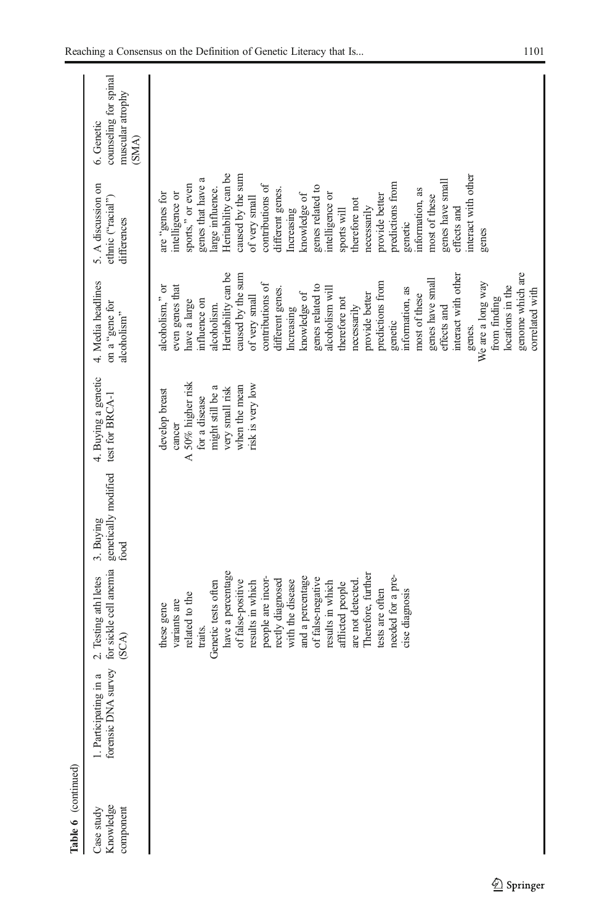| Table 6 (continued)                  |                                              |                                                        |                                           |                                          |                                                     |                                                        |                                                                  |
|--------------------------------------|----------------------------------------------|--------------------------------------------------------|-------------------------------------------|------------------------------------------|-----------------------------------------------------|--------------------------------------------------------|------------------------------------------------------------------|
| Knowledge<br>Case study<br>component | forensic DNA survey<br>1. Participating in a | for sickle cell anemia<br>2. Testing athletes<br>(SCA) | genetically modified<br>3. Buying<br>food | 4. Buying a genetic<br>test for $BRCA-1$ | 4. Media headlines<br>on a "gene for<br>alcoholism" | 5. A discussion on<br>ethnic ("racial")<br>differences | counseling for spinal<br>muscular atrophy<br>6. Genetic<br>(SMA) |
|                                      |                                              |                                                        |                                           |                                          |                                                     |                                                        |                                                                  |
|                                      |                                              | these gene                                             |                                           | develop breast                           | alcoholism," or                                     | are "genes for                                         |                                                                  |
|                                      |                                              | variants are                                           |                                           | cancer                                   | even genes that                                     | intelligence or                                        |                                                                  |
|                                      |                                              | related to the                                         |                                           | A 50% higher risk                        | have a large                                        | sports," or even                                       |                                                                  |
|                                      |                                              | traits.                                                |                                           | for a disease                            | influence on                                        | genes that have a                                      |                                                                  |
|                                      |                                              | Genetic tests often                                    |                                           | might still be a                         | alcoholism.                                         | large influence.                                       |                                                                  |
|                                      |                                              | have a percentage                                      |                                           | very small risk                          | Heritability can be                                 | Heritability can be                                    |                                                                  |
|                                      |                                              | of false-positive                                      |                                           | when the mean                            | caused by the sum                                   | caused by the sum                                      |                                                                  |
|                                      |                                              | results in which                                       |                                           | risk is very low                         | of very small                                       | of very small                                          |                                                                  |
|                                      |                                              | people are incor-                                      |                                           |                                          | contributions of                                    | contributions of                                       |                                                                  |
|                                      |                                              | rectly diagnosed                                       |                                           |                                          | different genes.                                    | different genes.                                       |                                                                  |
|                                      |                                              | with the disease                                       |                                           |                                          | Increasing                                          | Increasing                                             |                                                                  |
|                                      |                                              | and a percentage                                       |                                           |                                          | knowledge of                                        | knowledge of                                           |                                                                  |
|                                      |                                              | of false-negative                                      |                                           |                                          | genes related to                                    | genes related to                                       |                                                                  |
|                                      |                                              | results in which                                       |                                           |                                          | alcoholism will                                     | intelligence or                                        |                                                                  |
|                                      |                                              | afflicted people                                       |                                           |                                          | therefore not                                       | sports will                                            |                                                                  |
|                                      |                                              | are not detected                                       |                                           |                                          | necessarily                                         | therefore not                                          |                                                                  |
|                                      |                                              | Therefore, further                                     |                                           |                                          | provide better                                      | necessarily                                            |                                                                  |
|                                      |                                              | tests are often                                        |                                           |                                          | predictions from                                    | provide better                                         |                                                                  |
|                                      |                                              | needed for a pre-                                      |                                           |                                          | genetic                                             | predictions from                                       |                                                                  |
|                                      |                                              | cise diagnosis                                         |                                           |                                          | information, as                                     | genetic                                                |                                                                  |
|                                      |                                              |                                                        |                                           |                                          | most of these                                       | information, as                                        |                                                                  |
|                                      |                                              |                                                        |                                           |                                          | genes have small                                    | most of these                                          |                                                                  |
|                                      |                                              |                                                        |                                           |                                          | effects and                                         | genes have small                                       |                                                                  |
|                                      |                                              |                                                        |                                           |                                          | interact with other                                 | effects and                                            |                                                                  |
|                                      |                                              |                                                        |                                           |                                          | genes.                                              | interact with other                                    |                                                                  |
|                                      |                                              |                                                        |                                           |                                          | We are a long way                                   | genes                                                  |                                                                  |
|                                      |                                              |                                                        |                                           |                                          | from finding                                        |                                                        |                                                                  |
|                                      |                                              |                                                        |                                           |                                          | locations in the                                    |                                                        |                                                                  |
|                                      |                                              |                                                        |                                           |                                          | genome which are<br>correlated with                 |                                                        |                                                                  |
|                                      |                                              |                                                        |                                           |                                          |                                                     |                                                        |                                                                  |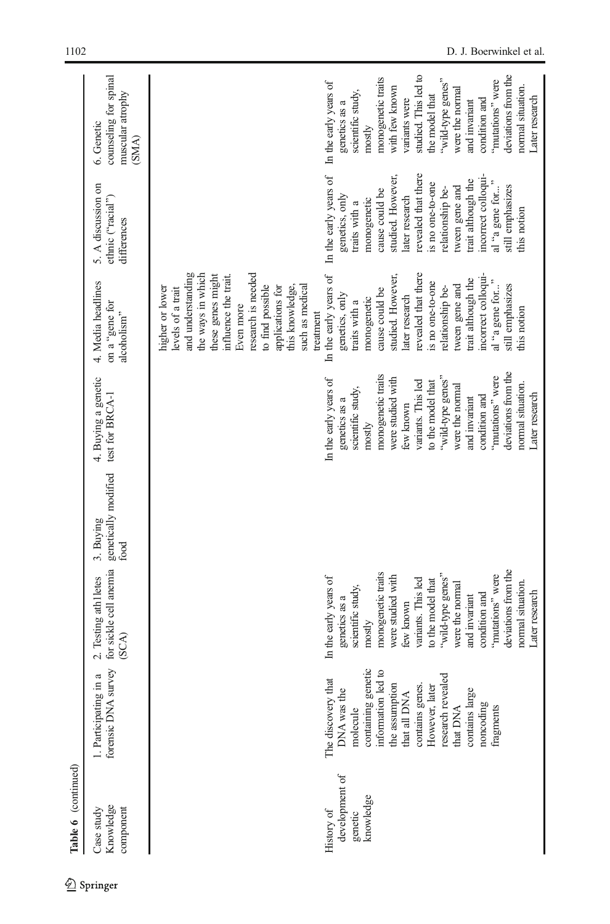| Table 6 (continued)                                  |                                                                                                                                                                                                                                               |                                                                                                                                                                                                                                                                                                                                      |                                                           |                                                                                                                                                                                                                                                                                                                                               |                                                                                                                                                                                                                                                                                                                                                                                                                                                                                                                                                                                  |                                                                                                                                                                                                                                                                                                                     |                                                                                                                                                                                                                                                                                                                                      |
|------------------------------------------------------|-----------------------------------------------------------------------------------------------------------------------------------------------------------------------------------------------------------------------------------------------|--------------------------------------------------------------------------------------------------------------------------------------------------------------------------------------------------------------------------------------------------------------------------------------------------------------------------------------|-----------------------------------------------------------|-----------------------------------------------------------------------------------------------------------------------------------------------------------------------------------------------------------------------------------------------------------------------------------------------------------------------------------------------|----------------------------------------------------------------------------------------------------------------------------------------------------------------------------------------------------------------------------------------------------------------------------------------------------------------------------------------------------------------------------------------------------------------------------------------------------------------------------------------------------------------------------------------------------------------------------------|---------------------------------------------------------------------------------------------------------------------------------------------------------------------------------------------------------------------------------------------------------------------------------------------------------------------|--------------------------------------------------------------------------------------------------------------------------------------------------------------------------------------------------------------------------------------------------------------------------------------------------------------------------------------|
| Knowledge<br>component<br>Case study                 | a<br>1. Participating i                                                                                                                                                                                                                       | forensic DNA survey for sickle cell anemia<br>2. Testing athletes<br>(SCA)                                                                                                                                                                                                                                                           | genetically modified test for BRCA-1<br>3. Buying<br>food | 4. Buying a genetic                                                                                                                                                                                                                                                                                                                           | 4. Media headlines<br>on a "gene for<br>alcoholism"                                                                                                                                                                                                                                                                                                                                                                                                                                                                                                                              | 5. A discussion on<br>ethnic ("racial")<br>differences                                                                                                                                                                                                                                                              | counseling for spinal<br>muscular atrophy<br>6. Genetic<br>(SMA)                                                                                                                                                                                                                                                                     |
| development of<br>knowledge<br>History of<br>genetic | containing genetic<br>information led to<br>research revealed<br>The discovery that<br>the assumption<br>contains genes.<br>However, later<br>DNA was the<br>contains large<br>that all DNA<br>noncoding<br>fragments<br>that DNA<br>molecule | deviations from the<br>monogenetic traits<br>"wild-type genes"<br>"mutations" were<br>In the early years of<br>were studied with<br>variants. This led<br>to the model that<br>normal situation.<br>were the normal<br>scientific study,<br>Later research<br>condition and<br>and invariant<br>genetics as a<br>few known<br>mostly |                                                           | deviations from the<br>monogenetic traits<br>"wild-type genes"<br>"mutations" were<br>In the early years of<br>were studied with<br>variants. This led<br>to the model that<br>normal situation.<br>were the normal<br>scientific study,<br>Later research<br>condition and<br>and invariant<br>genetics as a<br>few known<br>$_{\rm mostly}$ | and understanding<br>the ways in which<br>research is needed<br>revealed that there<br>these genes might<br>incorrect colloqui-<br>In the early years of<br>influence the trait.<br>studied. However,<br>trait although the<br>is no one-to-one<br>tween gene and<br>still emphasizes<br>such as medical<br>to find possible<br>this knowledge,<br>al "a gene for<br>relationship be-<br>applications for<br>higher or lower<br>levels of a trait<br>cause could be<br>genetics, only<br>later research<br>monogenetic<br>traits with a<br>Even more<br>this notion<br>treatment | In the early years of<br>revealed that there<br>incorrect colloqui-<br>studied. However,<br>trait although the<br>is no one-to-one<br>still emphasizes<br>tween gene and<br>relationship be-<br>al "a gene for<br>cause could be<br>genetics, only<br>later research<br>monogenetic<br>traits with a<br>this notion | deviations from the<br>studied. This led to<br>monogenetic traits<br>"wild-type genes"<br>"mutations" were<br>In the early years of<br>normal situation.<br>with few known<br>were the normal<br>scientific study,<br>the model that<br>Later research<br>variants were<br>condition and<br>and invariant<br>genetics as a<br>mostly |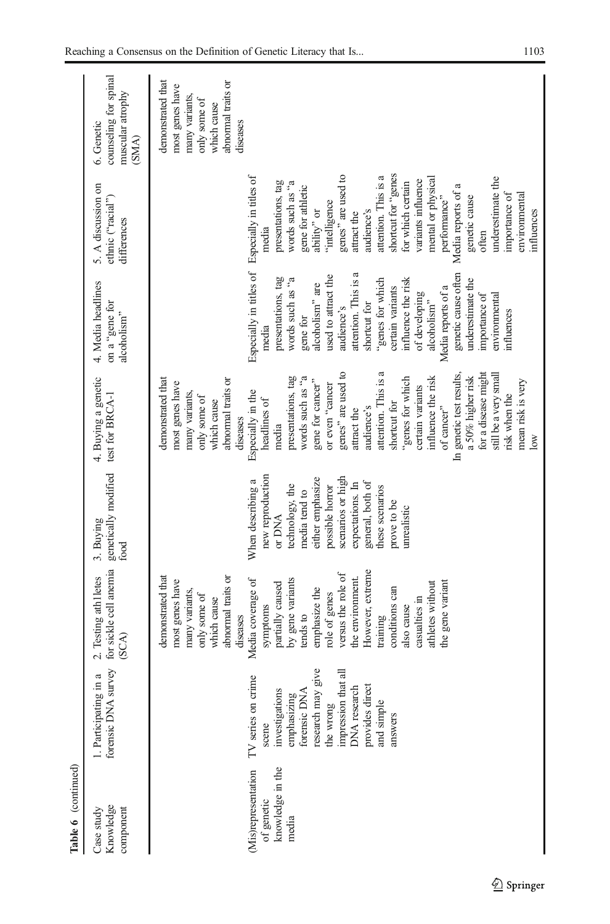| Table 6 (continued)                                            |                                                                                                                                                                                                       |                                                                                                                                                                                                                                                                                                                                                                                                                   |                                                                                                                                                                                                                                          |                                                                                                                                                                                                                                                                                                                                                                                                                                                                                                                                                                                                 |                                                                                                                                                                                                                                                                                                                                                                                                                                |                                                                                                                                                                                                                                                                                                                                                                                                              |                                                                                                                         |
|----------------------------------------------------------------|-------------------------------------------------------------------------------------------------------------------------------------------------------------------------------------------------------|-------------------------------------------------------------------------------------------------------------------------------------------------------------------------------------------------------------------------------------------------------------------------------------------------------------------------------------------------------------------------------------------------------------------|------------------------------------------------------------------------------------------------------------------------------------------------------------------------------------------------------------------------------------------|-------------------------------------------------------------------------------------------------------------------------------------------------------------------------------------------------------------------------------------------------------------------------------------------------------------------------------------------------------------------------------------------------------------------------------------------------------------------------------------------------------------------------------------------------------------------------------------------------|--------------------------------------------------------------------------------------------------------------------------------------------------------------------------------------------------------------------------------------------------------------------------------------------------------------------------------------------------------------------------------------------------------------------------------|--------------------------------------------------------------------------------------------------------------------------------------------------------------------------------------------------------------------------------------------------------------------------------------------------------------------------------------------------------------------------------------------------------------|-------------------------------------------------------------------------------------------------------------------------|
| Knowledge<br>Case study<br>component                           | forensic DNA survey<br>1. Participating in a                                                                                                                                                          | for sickle cell anemia<br>2. Testing athletes<br>(SCA)                                                                                                                                                                                                                                                                                                                                                            | genetically modified<br>3. Buying<br>food                                                                                                                                                                                                | 4. Buying a genetic<br>test for BRCA-1                                                                                                                                                                                                                                                                                                                                                                                                                                                                                                                                                          | 4. Media headlines<br>on a "gene for<br>alcoholism"                                                                                                                                                                                                                                                                                                                                                                            | 5. A discussion on<br>ethnic ("racial")<br>differences                                                                                                                                                                                                                                                                                                                                                       | counseling for spinal<br>muscular atrophy<br>6. Genetic<br>(SMA)                                                        |
| knowledge in the<br>(Mis)representation<br>of genetic<br>media | research may give<br>impression that all<br>me<br>DNA research<br>provides direct<br>investigations<br>forensic DNA<br>TV series on cri<br>emphasizing<br>and simple<br>the wrong<br>answers<br>scene | However, extreme<br>versus the role of<br>abnormal traits or<br>demonstrated that<br>the environment.<br>Media coverage of<br>by gene variants<br>most genes have<br>partially caused<br>athletes without<br>the gene variant<br>emphasize the<br>conditions can<br>many variants,<br>role of genes<br>only some of<br>casualties in<br>which cause<br>symptoms<br>also cause<br>tends to<br>diseases<br>training | new reproduction<br>scenarios or high<br>either emphasize<br>When describing a<br>general, both of<br>expectations. In<br>technology, the<br>possible horror<br>these scenarios<br>media tend to<br>prove to be<br>unrealistic<br>or DNA | attention. This is a<br>genes" are used to<br>for a disease might<br>In genetic test results,<br>still be a very small<br>presentations, tag<br>words such as "a<br>influence the risk<br>a 50% higher risk<br>abnormal traits or<br>'genes for which<br>demonstrated that<br>gene for cancer"<br>mean risk is very<br>most genes have<br>or even "cancer<br>certain variants<br>Especially in the<br>many variants,<br>risk when the<br>only some of<br>headlines of<br>which cause<br>shortcut for<br>of cancer"<br>audience's<br>attract the<br>diseases<br>media<br>$\overline{\text{low}}$ | Especially in titles of Especially in titles of<br>attention. This is a<br>genetic cause often<br>used to attract the<br>presentations, tag<br>words such as "a<br>underestimate the<br>"genes for which<br>influence the risk<br>alcoholism" are<br>certain variants<br>Media reports of a<br>of developing<br>importance of<br>environmental<br>alcoholism"<br>shortcut for<br>audience's<br>influences<br>gene for<br>media | shortcut for "genes<br>genes" are used to<br>attention. This is a<br>underestimate the<br>mental or physical<br>variants influence<br>presentations, tag<br>words such as "a<br>for which certain<br>Media reports of a<br>gene for athletic<br>importance of<br>environmental<br>genetic cause<br>performance"<br>"intelligence<br>audience's<br>influences<br>ability" or<br>attract the<br>media<br>often | demonstrated that<br>abnormal traits or<br>most genes have<br>many variants,<br>only some of<br>which cause<br>diseases |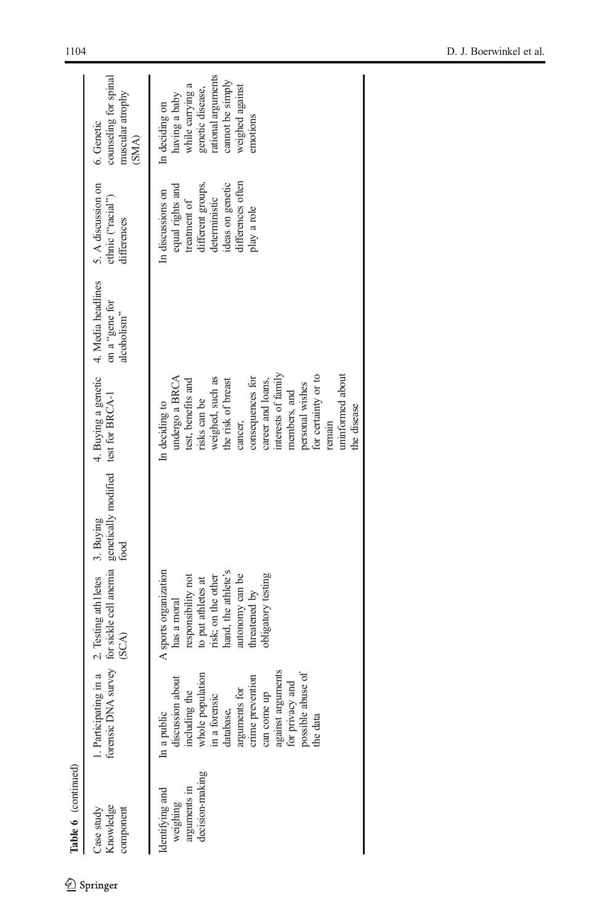| Table 6 (continued)                                            |                                                                                                                                                                                                                                 |                                                                                                                                                                                         |           |                                                                                                                                                                                                                                                                                                    |                                                     |                                                                                                                                                     |                                                                                                                                                  |
|----------------------------------------------------------------|---------------------------------------------------------------------------------------------------------------------------------------------------------------------------------------------------------------------------------|-----------------------------------------------------------------------------------------------------------------------------------------------------------------------------------------|-----------|----------------------------------------------------------------------------------------------------------------------------------------------------------------------------------------------------------------------------------------------------------------------------------------------------|-----------------------------------------------------|-----------------------------------------------------------------------------------------------------------------------------------------------------|--------------------------------------------------------------------------------------------------------------------------------------------------|
| Knowledge<br>Case study<br>component                           | 1. Participating in a<br>forensic DNA                                                                                                                                                                                           | survey for sickle cell anemia genetically modified test for $\text{BRCA-1}$ (SCA)<br>2. Testing athlletes                                                                               | 3. Buying | 4. Buying a genetic                                                                                                                                                                                                                                                                                | 4. Media headlines<br>on a "gene for<br>alcoholism" | 5. A discussion on<br>ethnic ("racial")<br>differences                                                                                              | counseling for spinal<br>muscular atrophy<br>6. Genetic<br>(SMA)                                                                                 |
| decision-making<br>arguments in<br>Identifying and<br>weighing | against arguments<br>possible abuse of<br>whole population<br>crime prevention<br>discussion about<br>for privacy and<br>arguments for<br>including the<br>can come up<br>in a forensic<br>database,<br>In a public<br>the data | A sports organization<br>hand, the athlete's<br>obligatory testing<br>autonomy can be<br>responsibility not<br>to put athletes at<br>risk; on the other<br>threatened by<br>has a moral |           | interests of family<br>for certainty or to<br>undergo a BRCA<br>uninformed about<br>consequences for<br>weighed, such as<br>test, benefits and<br>the risk of breast<br>career and loans,<br>personal wishes<br>members, and<br>risks can be<br>In deciding to<br>the disease<br>cancer,<br>remain |                                                     | differences often<br>ideas on genetic<br>different groups,<br>equal rights and<br>In discussions on<br>deterministic<br>treatment of<br>play a role | genetic disease,<br>rational arguments<br>cannot be simply<br>having a baby<br>while carrying a<br>weighed against<br>In deciding on<br>emotions |
|                                                                |                                                                                                                                                                                                                                 |                                                                                                                                                                                         |           |                                                                                                                                                                                                                                                                                                    |                                                     |                                                                                                                                                     |                                                                                                                                                  |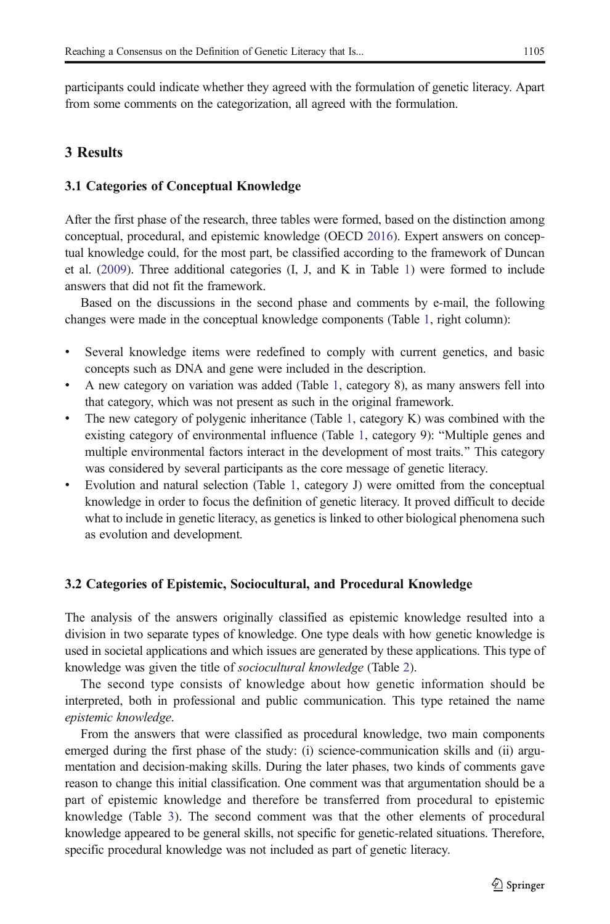participants could indicate whether they agreed with the formulation of genetic literacy. Apart from some comments on the categorization, all agreed with the formulation.

## 3 Results

## 3.1 Categories of Conceptual Knowledge

After the first phase of the research, three tables were formed, based on the distinction among conceptual, procedural, and epistemic knowledge (OECD [2016](#page-27-0)). Expert answers on conceptual knowledge could, for the most part, be classified according to the framework of Duncan et al. ([2009](#page-26-0)). Three additional categories (I, J, and K in Table [1\)](#page-3-0) were formed to include answers that did not fit the framework.

Based on the discussions in the second phase and comments by e-mail, the following changes were made in the conceptual knowledge components (Table [1,](#page-3-0) right column):

- & Several knowledge items were redefined to comply with current genetics, and basic concepts such as DNA and gene were included in the description.
- & A new category on variation was added (Table [1](#page-3-0), category 8), as many answers fell into that category, which was not present as such in the original framework.
- The new category of polygenic inheritance (Table [1](#page-3-0), category  $K$ ) was combined with the existing category of environmental influence (Table [1,](#page-3-0) category 9): "Multiple genes and multiple environmental factors interact in the development of most traits." This category was considered by several participants as the core message of genetic literacy.
- Evolution and natural selection (Table [1,](#page-3-0) category J) were omitted from the conceptual knowledge in order to focus the definition of genetic literacy. It proved difficult to decide what to include in genetic literacy, as genetics is linked to other biological phenomena such as evolution and development.

## 3.2 Categories of Epistemic, Sociocultural, and Procedural Knowledge

The analysis of the answers originally classified as epistemic knowledge resulted into a division in two separate types of knowledge. One type deals with how genetic knowledge is used in societal applications and which issues are generated by these applications. This type of knowledge was given the title of sociocultural knowledge (Table [2](#page-3-0)).

The second type consists of knowledge about how genetic information should be interpreted, both in professional and public communication. This type retained the name epistemic knowledge.

From the answers that were classified as procedural knowledge, two main components emerged during the first phase of the study: (i) science-communication skills and (ii) argumentation and decision-making skills. During the later phases, two kinds of comments gave reason to change this initial classification. One comment was that argumentation should be a part of epistemic knowledge and therefore be transferred from procedural to epistemic knowledge (Table [3\)](#page-4-0). The second comment was that the other elements of procedural knowledge appeared to be general skills, not specific for genetic-related situations. Therefore, specific procedural knowledge was not included as part of genetic literacy.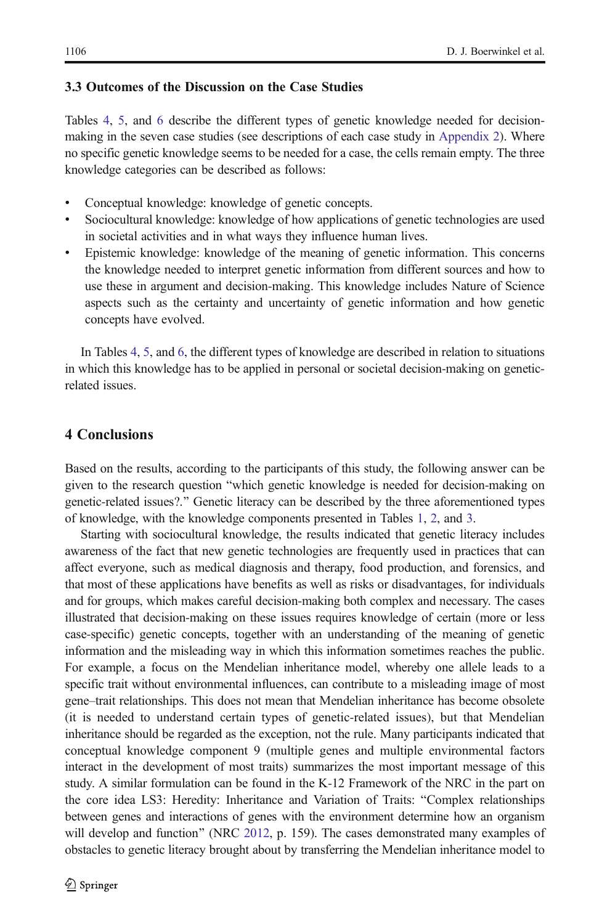## 3.3 Outcomes of the Discussion on the Case Studies

Tables [4](#page-5-0), [5,](#page-9-0) and [6](#page-13-0) describe the different types of genetic knowledge needed for decisionmaking in the seven case studies (see descriptions of each case study in [Appendix 2](#page-25-0)). Where no specific genetic knowledge seems to be needed for a case, the cells remain empty. The three knowledge categories can be described as follows:

- Conceptual knowledge: knowledge of genetic concepts.
- & Sociocultural knowledge: knowledge of how applications of genetic technologies are used in societal activities and in what ways they influence human lives.
- & Epistemic knowledge: knowledge of the meaning of genetic information. This concerns the knowledge needed to interpret genetic information from different sources and how to use these in argument and decision-making. This knowledge includes Nature of Science aspects such as the certainty and uncertainty of genetic information and how genetic concepts have evolved.

In Tables [4,](#page-5-0) [5,](#page-9-0) and [6,](#page-13-0) the different types of knowledge are described in relation to situations in which this knowledge has to be applied in personal or societal decision-making on geneticrelated issues.

## 4 Conclusions

Based on the results, according to the participants of this study, the following answer can be given to the research question "which genetic knowledge is needed for decision-making on genetic-related issues?.<sup>\*</sup> Genetic literacy can be described by the three aforementioned types of knowledge, with the knowledge components presented in Tables [1](#page-3-0), [2,](#page-3-0) and [3.](#page-4-0)

Starting with sociocultural knowledge, the results indicated that genetic literacy includes awareness of the fact that new genetic technologies are frequently used in practices that can affect everyone, such as medical diagnosis and therapy, food production, and forensics, and that most of these applications have benefits as well as risks or disadvantages, for individuals and for groups, which makes careful decision-making both complex and necessary. The cases illustrated that decision-making on these issues requires knowledge of certain (more or less case-specific) genetic concepts, together with an understanding of the meaning of genetic information and the misleading way in which this information sometimes reaches the public. For example, a focus on the Mendelian inheritance model, whereby one allele leads to a specific trait without environmental influences, can contribute to a misleading image of most gene–trait relationships. This does not mean that Mendelian inheritance has become obsolete (it is needed to understand certain types of genetic-related issues), but that Mendelian inheritance should be regarded as the exception, not the rule. Many participants indicated that conceptual knowledge component 9 (multiple genes and multiple environmental factors interact in the development of most traits) summarizes the most important message of this study. A similar formulation can be found in the K-12 Framework of the NRC in the part on the core idea LS3: Heredity: Inheritance and Variation of Traits: "Complex relationships between genes and interactions of genes with the environment determine how an organism will develop and function" (NRC [2012](#page-27-0), p. 159). The cases demonstrated many examples of obstacles to genetic literacy brought about by transferring the Mendelian inheritance model to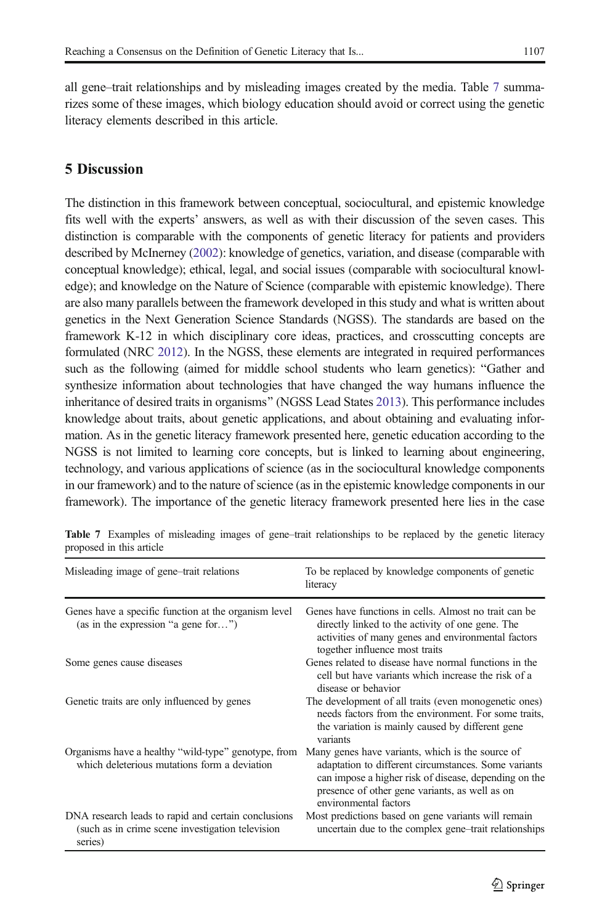all gene–trait relationships and by misleading images created by the media. Table 7 summarizes some of these images, which biology education should avoid or correct using the genetic literacy elements described in this article.

# 5 Discussion

The distinction in this framework between conceptual, sociocultural, and epistemic knowledge fits well with the experts' answers, as well as with their discussion of the seven cases. This distinction is comparable with the components of genetic literacy for patients and providers described by McInerney [\(2002](#page-27-0)): knowledge of genetics, variation, and disease (comparable with conceptual knowledge); ethical, legal, and social issues (comparable with sociocultural knowledge); and knowledge on the Nature of Science (comparable with epistemic knowledge). There are also many parallels between the framework developed in this study and what is written about genetics in the Next Generation Science Standards (NGSS). The standards are based on the framework K-12 in which disciplinary core ideas, practices, and crosscutting concepts are formulated (NRC [2012](#page-27-0)). In the NGSS, these elements are integrated in required performances such as the following (aimed for middle school students who learn genetics): "Gather and synthesize information about technologies that have changed the way humans influence the inheritance of desired traits in organisms" (NGSS Lead States [2013](#page-27-0)). This performance includes knowledge about traits, about genetic applications, and about obtaining and evaluating information. As in the genetic literacy framework presented here, genetic education according to the NGSS is not limited to learning core concepts, but is linked to learning about engineering, technology, and various applications of science (as in the sociocultural knowledge components in our framework) and to the nature of science (as in the epistemic knowledge components in our framework). The importance of the genetic literacy framework presented here lies in the case

| Misleading image of gene–trait relations                                                                            | To be replaced by knowledge components of genetic<br>literacy                                                                                                                                                                                |
|---------------------------------------------------------------------------------------------------------------------|----------------------------------------------------------------------------------------------------------------------------------------------------------------------------------------------------------------------------------------------|
| Genes have a specific function at the organism level<br>(as in the expression "a gene for")                         | Genes have functions in cells. Almost no trait can be<br>directly linked to the activity of one gene. The<br>activities of many genes and environmental factors<br>together influence most traits                                            |
| Some genes cause diseases                                                                                           | Genes related to disease have normal functions in the<br>cell but have variants which increase the risk of a<br>disease or behavior                                                                                                          |
| Genetic traits are only influenced by genes                                                                         | The development of all traits (even monogenetic ones)<br>needs factors from the environment. For some traits,<br>the variation is mainly caused by different gene<br>variants                                                                |
| Organisms have a healthy "wild-type" genotype, from<br>which deleterious mutations form a deviation                 | Many genes have variants, which is the source of<br>adaptation to different circumstances. Some variants<br>can impose a higher risk of disease, depending on the<br>presence of other gene variants, as well as on<br>environmental factors |
| DNA research leads to rapid and certain conclusions<br>(such as in crime scene investigation television)<br>series) | Most predictions based on gene variants will remain<br>uncertain due to the complex gene–trait relationships                                                                                                                                 |

Table 7 Examples of misleading images of gene–trait relationships to be replaced by the genetic literacy proposed in this article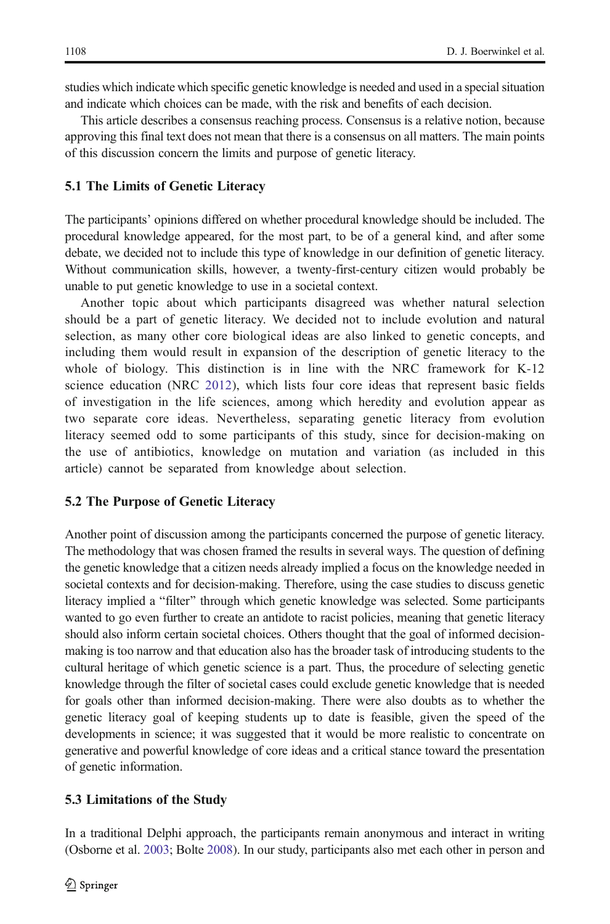studies which indicate which specific genetic knowledge is needed and used in a special situation and indicate which choices can be made, with the risk and benefits of each decision.

This article describes a consensus reaching process. Consensus is a relative notion, because approving this final text does not mean that there is a consensus on all matters. The main points of this discussion concern the limits and purpose of genetic literacy.

#### 5.1 The Limits of Genetic Literacy

The participants' opinions differed on whether procedural knowledge should be included. The procedural knowledge appeared, for the most part, to be of a general kind, and after some debate, we decided not to include this type of knowledge in our definition of genetic literacy. Without communication skills, however, a twenty-first-century citizen would probably be unable to put genetic knowledge to use in a societal context.

Another topic about which participants disagreed was whether natural selection should be a part of genetic literacy. We decided not to include evolution and natural selection, as many other core biological ideas are also linked to genetic concepts, and including them would result in expansion of the description of genetic literacy to the whole of biology. This distinction is in line with the NRC framework for K-12 science education (NRC [2012](#page-27-0)), which lists four core ideas that represent basic fields of investigation in the life sciences, among which heredity and evolution appear as two separate core ideas. Nevertheless, separating genetic literacy from evolution literacy seemed odd to some participants of this study, since for decision-making on the use of antibiotics, knowledge on mutation and variation (as included in this article) cannot be separated from knowledge about selection.

## 5.2 The Purpose of Genetic Literacy

Another point of discussion among the participants concerned the purpose of genetic literacy. The methodology that was chosen framed the results in several ways. The question of defining the genetic knowledge that a citizen needs already implied a focus on the knowledge needed in societal contexts and for decision-making. Therefore, using the case studies to discuss genetic literacy implied a "filter" through which genetic knowledge was selected. Some participants wanted to go even further to create an antidote to racist policies, meaning that genetic literacy should also inform certain societal choices. Others thought that the goal of informed decisionmaking is too narrow and that education also has the broader task of introducing students to the cultural heritage of which genetic science is a part. Thus, the procedure of selecting genetic knowledge through the filter of societal cases could exclude genetic knowledge that is needed for goals other than informed decision-making. There were also doubts as to whether the genetic literacy goal of keeping students up to date is feasible, given the speed of the developments in science; it was suggested that it would be more realistic to concentrate on generative and powerful knowledge of core ideas and a critical stance toward the presentation of genetic information.

#### 5.3 Limitations of the Study

In a traditional Delphi approach, the participants remain anonymous and interact in writing (Osborne et al. [2003](#page-27-0); Bolte [2008\)](#page-26-0). In our study, participants also met each other in person and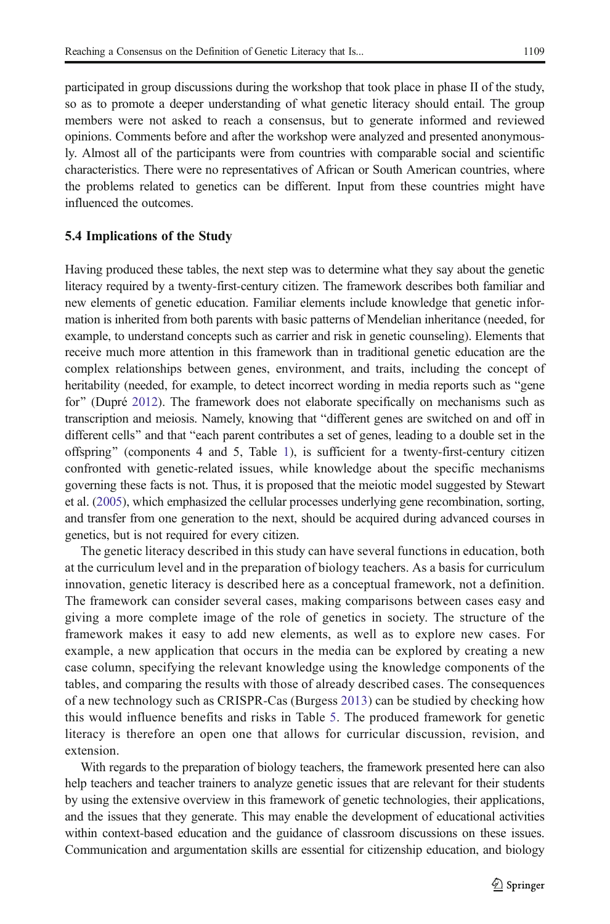participated in group discussions during the workshop that took place in phase II of the study, so as to promote a deeper understanding of what genetic literacy should entail. The group members were not asked to reach a consensus, but to generate informed and reviewed opinions. Comments before and after the workshop were analyzed and presented anonymously. Almost all of the participants were from countries with comparable social and scientific characteristics. There were no representatives of African or South American countries, where the problems related to genetics can be different. Input from these countries might have influenced the outcomes.

## 5.4 Implications of the Study

Having produced these tables, the next step was to determine what they say about the genetic literacy required by a twenty-first-century citizen. The framework describes both familiar and new elements of genetic education. Familiar elements include knowledge that genetic information is inherited from both parents with basic patterns of Mendelian inheritance (needed, for example, to understand concepts such as carrier and risk in genetic counseling). Elements that receive much more attention in this framework than in traditional genetic education are the complex relationships between genes, environment, and traits, including the concept of heritability (needed, for example, to detect incorrect wording in media reports such as "gene for" (Dupré [2012\)](#page-26-0). The framework does not elaborate specifically on mechanisms such as transcription and meiosis. Namely, knowing that "different genes are switched on and off in different cells" and that "each parent contributes a set of genes, leading to a double set in the offspring" (components 4 and 5, Table [1\)](#page-3-0), is sufficient for a twenty-first-century citizen confronted with genetic-related issues, while knowledge about the specific mechanisms governing these facts is not. Thus, it is proposed that the meiotic model suggested by Stewart et al. ([2005](#page-27-0)), which emphasized the cellular processes underlying gene recombination, sorting, and transfer from one generation to the next, should be acquired during advanced courses in genetics, but is not required for every citizen.

The genetic literacy described in this study can have several functions in education, both at the curriculum level and in the preparation of biology teachers. As a basis for curriculum innovation, genetic literacy is described here as a conceptual framework, not a definition. The framework can consider several cases, making comparisons between cases easy and giving a more complete image of the role of genetics in society. The structure of the framework makes it easy to add new elements, as well as to explore new cases. For example, a new application that occurs in the media can be explored by creating a new case column, specifying the relevant knowledge using the knowledge components of the tables, and comparing the results with those of already described cases. The consequences of a new technology such as CRISPR-Cas (Burgess [2013](#page-26-0)) can be studied by checking how this would influence benefits and risks in Table [5.](#page-9-0) The produced framework for genetic literacy is therefore an open one that allows for curricular discussion, revision, and extension.

With regards to the preparation of biology teachers, the framework presented here can also help teachers and teacher trainers to analyze genetic issues that are relevant for their students by using the extensive overview in this framework of genetic technologies, their applications, and the issues that they generate. This may enable the development of educational activities within context-based education and the guidance of classroom discussions on these issues. Communication and argumentation skills are essential for citizenship education, and biology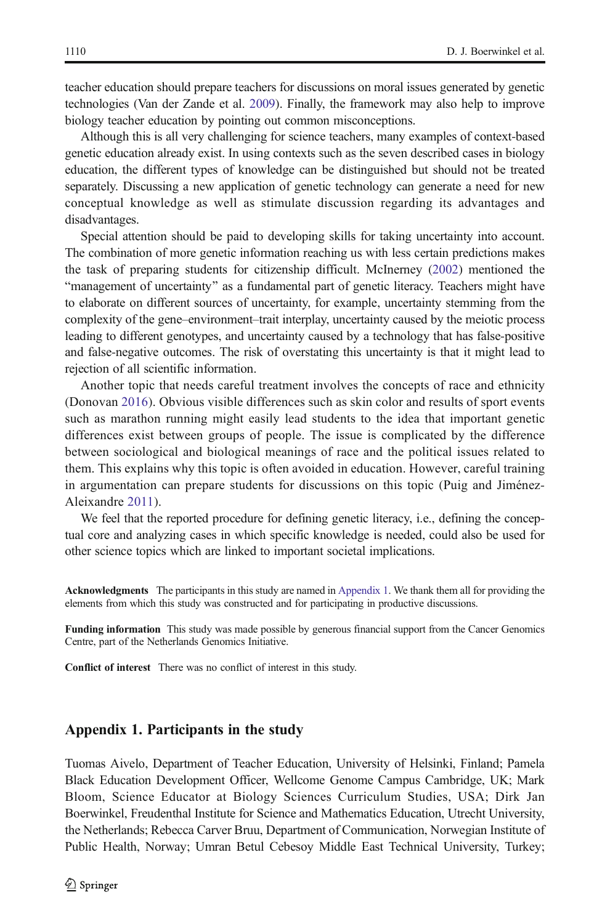<span id="page-23-0"></span>teacher education should prepare teachers for discussions on moral issues generated by genetic technologies (Van der Zande et al. [2009](#page-27-0)). Finally, the framework may also help to improve biology teacher education by pointing out common misconceptions.

Although this is all very challenging for science teachers, many examples of context-based genetic education already exist. In using contexts such as the seven described cases in biology education, the different types of knowledge can be distinguished but should not be treated separately. Discussing a new application of genetic technology can generate a need for new conceptual knowledge as well as stimulate discussion regarding its advantages and disadvantages.

Special attention should be paid to developing skills for taking uncertainty into account. The combination of more genetic information reaching us with less certain predictions makes the task of preparing students for citizenship difficult. McInerney ([2002](#page-27-0)) mentioned the "management of uncertainty" as a fundamental part of genetic literacy. Teachers might have to elaborate on different sources of uncertainty, for example, uncertainty stemming from the complexity of the gene–environment–trait interplay, uncertainty caused by the meiotic process leading to different genotypes, and uncertainty caused by a technology that has false-positive and false-negative outcomes. The risk of overstating this uncertainty is that it might lead to rejection of all scientific information.

Another topic that needs careful treatment involves the concepts of race and ethnicity (Donovan [2016\)](#page-26-0). Obvious visible differences such as skin color and results of sport events such as marathon running might easily lead students to the idea that important genetic differences exist between groups of people. The issue is complicated by the difference between sociological and biological meanings of race and the political issues related to them. This explains why this topic is often avoided in education. However, careful training in argumentation can prepare students for discussions on this topic (Puig and Jiménez-Aleixandre [2011\)](#page-27-0).

We feel that the reported procedure for defining genetic literacy, i.e., defining the conceptual core and analyzing cases in which specific knowledge is needed, could also be used for other science topics which are linked to important societal implications.

Acknowledgments The participants in this study are named in Appendix 1. We thank them all for providing the elements from which this study was constructed and for participating in productive discussions.

Funding information This study was made possible by generous financial support from the Cancer Genomics Centre, part of the Netherlands Genomics Initiative.

Conflict of interest There was no conflict of interest in this study.

## Appendix 1. Participants in the study

Tuomas Aivelo, Department of Teacher Education, University of Helsinki, Finland; Pamela Black Education Development Officer, Wellcome Genome Campus Cambridge, UK; Mark Bloom, Science Educator at Biology Sciences Curriculum Studies, USA; Dirk Jan Boerwinkel, Freudenthal Institute for Science and Mathematics Education, Utrecht University, the Netherlands; Rebecca Carver Bruu, Department of Communication, Norwegian Institute of Public Health, Norway; Umran Betul Cebesoy Middle East Technical University, Turkey;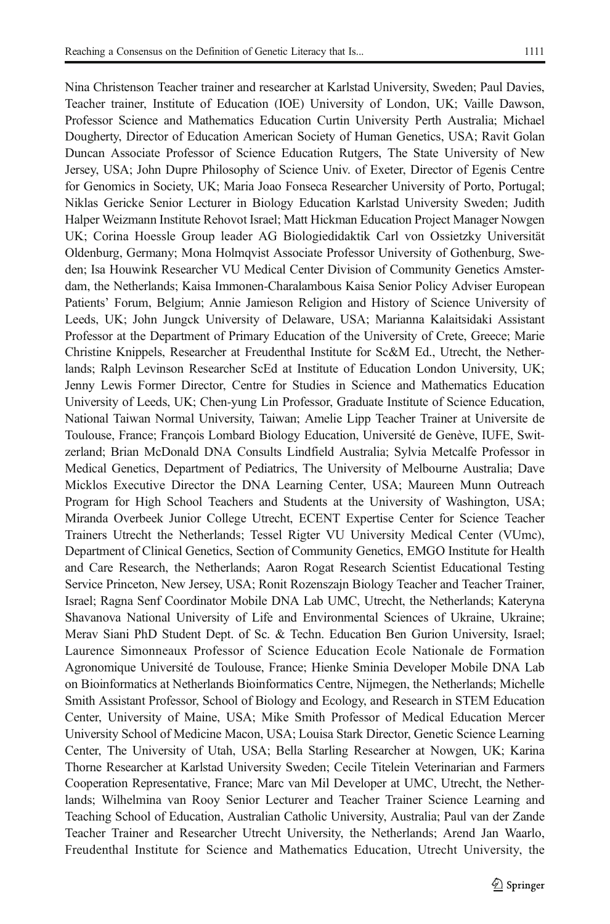Nina Christenson Teacher trainer and researcher at Karlstad University, Sweden; Paul Davies, Teacher trainer, Institute of Education (IOE) University of London, UK; Vaille Dawson, Professor Science and Mathematics Education Curtin University Perth Australia; Michael Dougherty, Director of Education American Society of Human Genetics, USA; Ravit Golan Duncan Associate Professor of Science Education Rutgers, The State University of New Jersey, USA; John Dupre Philosophy of Science Univ. of Exeter, Director of Egenis Centre for Genomics in Society, UK; Maria Joao Fonseca Researcher University of Porto, Portugal; Niklas Gericke Senior Lecturer in Biology Education Karlstad University Sweden; Judith Halper Weizmann Institute Rehovot Israel; Matt Hickman Education Project Manager Nowgen UK; Corina Hoessle Group leader AG Biologiedidaktik Carl von Ossietzky Universität Oldenburg, Germany; Mona Holmqvist Associate Professor University of Gothenburg, Sweden; Isa Houwink Researcher VU Medical Center Division of Community Genetics Amsterdam, the Netherlands; Kaisa Immonen-Charalambous Kaisa Senior Policy Adviser European Patients' Forum, Belgium; Annie Jamieson Religion and History of Science University of Leeds, UK; John Jungck University of Delaware, USA; Marianna Kalaitsidaki Assistant Professor at the Department of Primary Education of the University of Crete, Greece; Marie Christine Knippels, Researcher at Freudenthal Institute for Sc&M Ed., Utrecht, the Netherlands; Ralph Levinson Researcher ScEd at Institute of Education London University, UK; Jenny Lewis Former Director, Centre for Studies in Science and Mathematics Education University of Leeds, UK; Chen-yung Lin Professor, Graduate Institute of Science Education, National Taiwan Normal University, Taiwan; Amelie Lipp Teacher Trainer at Universite de Toulouse, France; François Lombard Biology Education, Université de Genève, IUFE, Switzerland; Brian McDonald DNA Consults Lindfield Australia; Sylvia Metcalfe Professor in Medical Genetics, Department of Pediatrics, The University of Melbourne Australia; Dave Micklos Executive Director the DNA Learning Center, USA; Maureen Munn Outreach Program for High School Teachers and Students at the University of Washington, USA; Miranda Overbeek Junior College Utrecht, ECENT Expertise Center for Science Teacher Trainers Utrecht the Netherlands; Tessel Rigter VU University Medical Center (VUmc), Department of Clinical Genetics, Section of Community Genetics, EMGO Institute for Health and Care Research, the Netherlands; Aaron Rogat Research Scientist Educational Testing Service Princeton, New Jersey, USA; Ronit Rozenszajn Biology Teacher and Teacher Trainer, Israel; Ragna Senf Coordinator Mobile DNA Lab UMC, Utrecht, the Netherlands; Kateryna Shavanova National University of Life and Environmental Sciences of Ukraine, Ukraine; Merav Siani PhD Student Dept. of Sc. & Techn. Education Ben Gurion University, Israel; Laurence Simonneaux Professor of Science Education Ecole Nationale de Formation Agronomique Université de Toulouse, France; Hienke Sminia Developer Mobile DNA Lab on Bioinformatics at Netherlands Bioinformatics Centre, Nijmegen, the Netherlands; Michelle Smith Assistant Professor, School of Biology and Ecology, and Research in STEM Education Center, University of Maine, USA; Mike Smith Professor of Medical Education Mercer University School of Medicine Macon, USA; Louisa Stark Director, Genetic Science Learning Center, The University of Utah, USA; Bella Starling Researcher at Nowgen, UK; Karina Thorne Researcher at Karlstad University Sweden; Cecile Titelein Veterinarian and Farmers Cooperation Representative, France; Marc van Mil Developer at UMC, Utrecht, the Netherlands; Wilhelmina van Rooy Senior Lecturer and Teacher Trainer Science Learning and Teaching School of Education, Australian Catholic University, Australia; Paul van der Zande Teacher Trainer and Researcher Utrecht University, the Netherlands; Arend Jan Waarlo, Freudenthal Institute for Science and Mathematics Education, Utrecht University, the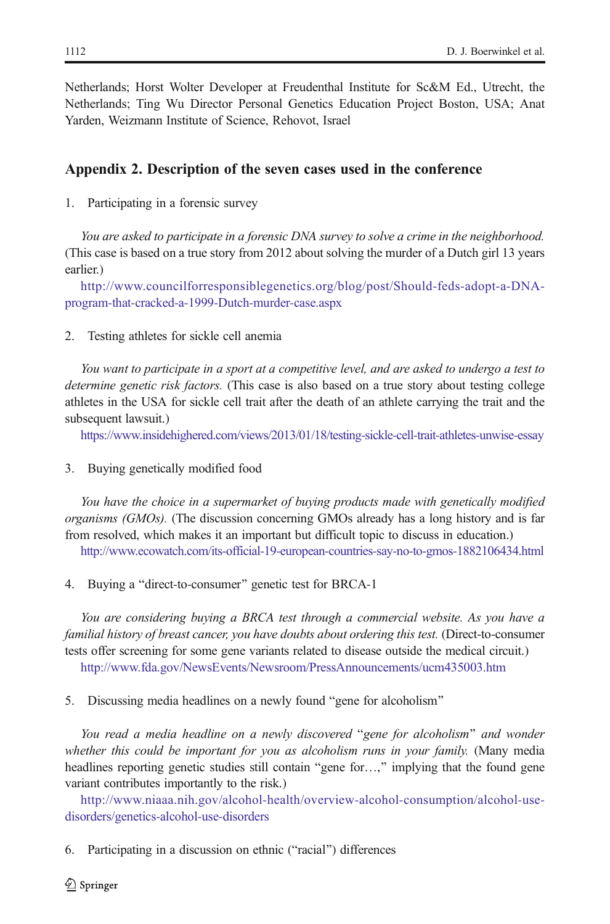<span id="page-25-0"></span>Netherlands; Horst Wolter Developer at Freudenthal Institute for Sc&M Ed., Utrecht, the Netherlands; Ting Wu Director Personal Genetics Education Project Boston, USA; Anat Yarden, Weizmann Institute of Science, Rehovot, Israel

## Appendix 2. Description of the seven cases used in the conference

1. Participating in a forensic survey

You are asked to participate in a forensic DNA survey to solve a crime in the neighborhood. (This case is based on a true story from 2012 about solving the murder of a Dutch girl 13 years earlier.)

[http://www.councilforresponsiblegenetics.org/blog/post/Should-feds-adopt-a-DNA](http://www.councilforresponsiblegenetics.org/blog/post/Should-feds-adopt-a-DNA-program-that-cracked-a-1999-Dutch-murder-case.aspx)[program-that-cracked-a-1999-Dutch-murder-case.aspx](http://www.councilforresponsiblegenetics.org/blog/post/Should-feds-adopt-a-DNA-program-that-cracked-a-1999-Dutch-murder-case.aspx)

2. Testing athletes for sickle cell anemia

You want to participate in a sport at a competitive level, and are asked to undergo a test to determine genetic risk factors. (This case is also based on a true story about testing college athletes in the USA for sickle cell trait after the death of an athlete carrying the trait and the subsequent lawsuit.)

<https://www.insidehighered.com/views/2013/01/18/testing-sickle-cell-trait-athletes-unwise-essay>

3. Buying genetically modified food

You have the choice in a supermarket of buying products made with genetically modified organisms (GMOs). (The discussion concerning GMOs already has a long history and is far from resolved, which makes it an important but difficult topic to discuss in education.) <http://www.ecowatch.com/its-official-19-european-countries-say-no-to-gmos-1882106434.html>

4. Buying a "direct-to-consumer" genetic test for BRCA-1

You are considering buying a BRCA test through a commercial website. As you have a familial history of breast cancer, you have doubts about ordering this test. (Direct-to-consumer tests offer screening for some gene variants related to disease outside the medical circuit.) <http://www.fda.gov/NewsEvents/Newsroom/PressAnnouncements/ucm435003.htm>

5. Discussing media headlines on a newly found "gene for alcoholism"

You read a media headline on a newly discovered "gene for alcoholism" and wonder whether this could be important for you as alcoholism runs in your family. (Many media headlines reporting genetic studies still contain "gene for...," implying that the found gene variant contributes importantly to the risk.)

[http://www.niaaa.nih.gov/alcohol-health/overview-alcohol-consumption/alcohol-use](http://www.niaaa.nih.gov/alcohol-health/overview-alcohol-consumption/alcohol-use-disorders/genetics-alcohol-use-disorders)[disorders/genetics-alcohol-use-disorders](http://www.niaaa.nih.gov/alcohol-health/overview-alcohol-consumption/alcohol-use-disorders/genetics-alcohol-use-disorders)

6. Participating in a discussion on ethnic ("racial") differences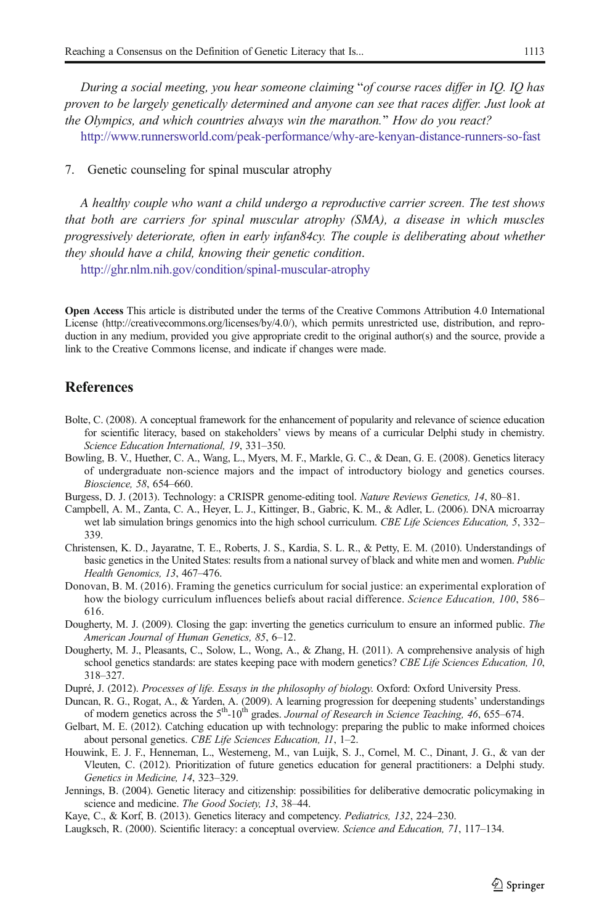<span id="page-26-0"></span>During a social meeting, you hear someone claiming "of course races differ in IQ. IQ has proven to be largely genetically determined and anyone can see that races differ. Just look at the Olympics, and which countries always win the marathon.^ How do you react?

<http://www.runnersworld.com/peak-performance/why-are-kenyan-distance-runners-so-fast>

7. Genetic counseling for spinal muscular atrophy

A healthy couple who want a child undergo a reproductive carrier screen. The test shows that both are carriers for spinal muscular atrophy (SMA), a disease in which muscles progressively deteriorate, often in early infan84cy. The couple is deliberating about whether they should have a child, knowing their genetic condition.

<http://ghr.nlm.nih.gov/condition/spinal-muscular-atrophy>

Open Access This article is distributed under the terms of the Creative Commons Attribution 4.0 International License (http://creativecommons.org/licenses/by/4.0/), which permits unrestricted use, distribution, and reproduction in any medium, provided you give appropriate credit to the original author(s) and the source, provide a link to the Creative Commons license, and indicate if changes were made.

## References

- Bolte, C. (2008). A conceptual framework for the enhancement of popularity and relevance of science education for scientific literacy, based on stakeholders' views by means of a curricular Delphi study in chemistry. Science Education International, 19, 331–350.
- Bowling, B. V., Huether, C. A., Wang, L., Myers, M. F., Markle, G. C., & Dean, G. E. (2008). Genetics literacy of undergraduate non-science majors and the impact of introductory biology and genetics courses. Bioscience, 58, 654–660.
- Burgess, D. J. (2013). Technology: a CRISPR genome-editing tool. Nature Reviews Genetics, 14, 80–81.
- Campbell, A. M., Zanta, C. A., Heyer, L. J., Kittinger, B., Gabric, K. M., & Adler, L. (2006). DNA microarray wet lab simulation brings genomics into the high school curriculum. CBE Life Sciences Education, 5, 332– 339.
- Christensen, K. D., Jayaratne, T. E., Roberts, J. S., Kardia, S. L. R., & Petty, E. M. (2010). Understandings of basic genetics in the United States: results from a national survey of black and white men and women. Public Health Genomics, 13, 467–476.
- Donovan, B. M. (2016). Framing the genetics curriculum for social justice: an experimental exploration of how the biology curriculum influences beliefs about racial difference. Science Education, 100, 586– 616.
- Dougherty, M. J. (2009). Closing the gap: inverting the genetics curriculum to ensure an informed public. The American Journal of Human Genetics, 85, 6–12.
- Dougherty, M. J., Pleasants, C., Solow, L., Wong, A., & Zhang, H. (2011). A comprehensive analysis of high school genetics standards: are states keeping pace with modern genetics? CBE Life Sciences Education, 10, 318–327.

Dupré, J. (2012). Processes of life. Essays in the philosophy of biology. Oxford: Oxford University Press.

- Duncan, R. G., Rogat, A., & Yarden, A. (2009). A learning progression for deepening students' understandings of modern genetics across the  $5<sup>th</sup>$ -10<sup>th</sup> grades. *Journal of Research in Science Teaching*, 46, 655–674.
- Gelbart, M. E. (2012). Catching education up with technology: preparing the public to make informed choices about personal genetics. CBE Life Sciences Education, 11, 1–2.
- Houwink, E. J. F., Henneman, L., Westerneng, M., van Luijk, S. J., Cornel, M. C., Dinant, J. G., & van der Vleuten, C. (2012). Prioritization of future genetics education for general practitioners: a Delphi study. Genetics in Medicine, 14, 323–329.
- Jennings, B. (2004). Genetic literacy and citizenship: possibilities for deliberative democratic policymaking in science and medicine. The Good Society, 13, 38–44.
- Kaye, C., & Korf, B. (2013). Genetics literacy and competency. Pediatrics, 132, 224-230.
- Laugksch, R. (2000). Scientific literacy: a conceptual overview. Science and Education, 71, 117–134.